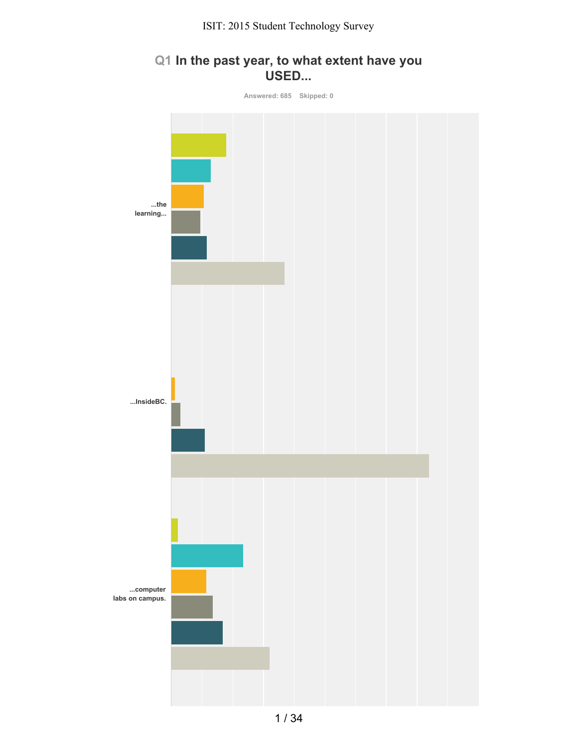## **Q1 In the past year, to what extent have you USED...**

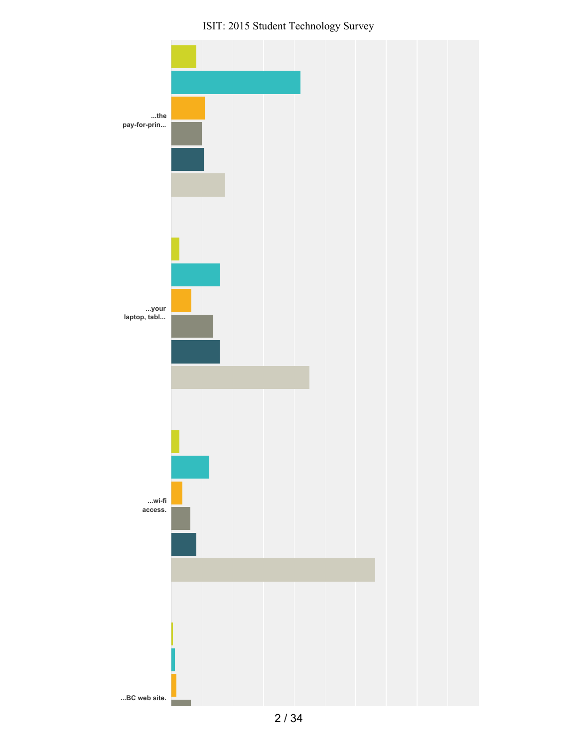ISIT: 2015 Student Technology Survey

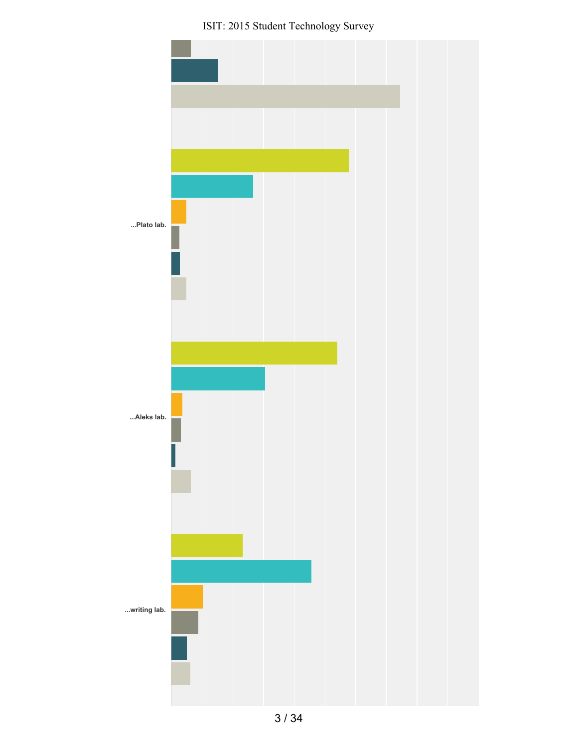ISIT: 2015 Student Technology Survey

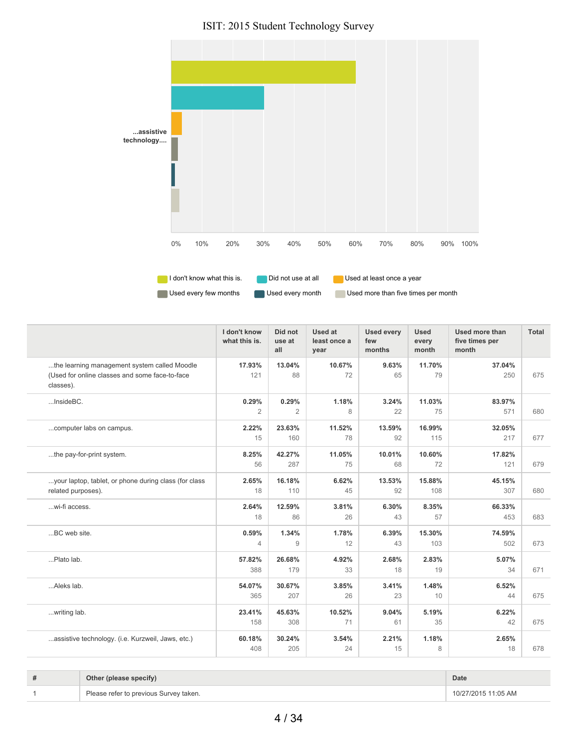ISIT: 2015 Student Technology Survey



|                                                                                                             | I don't know<br>what this is. | Did not<br>use at<br>all | <b>Used at</b><br>least once a<br>year | <b>Used every</b><br>few<br>months | <b>Used</b><br>every<br>month | Used more than<br>five times per<br>month | Total |
|-------------------------------------------------------------------------------------------------------------|-------------------------------|--------------------------|----------------------------------------|------------------------------------|-------------------------------|-------------------------------------------|-------|
| the learning management system called Moodle<br>(Used for online classes and some face-to-face<br>classes). | 17.93%<br>121                 | 13.04%<br>88             | 10.67%<br>72                           | 9.63%<br>65                        | 11.70%<br>79                  | 37.04%<br>250                             | 675   |
| InsideBC.                                                                                                   | 0.29%<br>$\mathbf{2}$         | 0.29%<br>2               | 1.18%<br>8                             | 3.24%<br>22                        | 11.03%<br>75                  | 83.97%<br>571                             | 680   |
| computer labs on campus.                                                                                    | 2.22%<br>15                   | 23.63%<br>160            | 11.52%<br>78                           | 13.59%<br>92                       | 16.99%<br>115                 | 32.05%<br>217                             | 677   |
| the pay-for-print system.                                                                                   | 8.25%<br>56                   | 42.27%<br>287            | 11.05%<br>75                           | 10.01%<br>68                       | 10.60%<br>72                  | 17.82%<br>121                             | 679   |
| your laptop, tablet, or phone during class (for class<br>related purposes).                                 | 2.65%<br>18                   | 16.18%<br>110            | 6.62%<br>45                            | 13.53%<br>92                       | 15.88%<br>108                 | 45.15%<br>307                             | 680   |
| wi-fi access.                                                                                               | 2.64%<br>18                   | 12.59%<br>86             | 3.81%<br>26                            | 6.30%<br>43                        | 8.35%<br>57                   | 66.33%<br>453                             | 683   |
| BC web site.                                                                                                | 0.59%<br>$\overline{4}$       | 1.34%<br>9               | 1.78%<br>12                            | 6.39%<br>43                        | 15.30%<br>103                 | 74.59%<br>502                             | 673   |
| Plato lab.                                                                                                  | 57.82%<br>388                 | 26.68%<br>179            | 4.92%<br>33                            | 2.68%<br>18                        | 2.83%<br>19                   | 5.07%<br>34                               | 671   |
| Aleks lab.                                                                                                  | 54.07%<br>365                 | 30.67%<br>207            | 3.85%<br>26                            | 3.41%<br>23                        | 1.48%<br>10                   | 6.52%<br>44                               | 675   |
| writing lab.                                                                                                | 23.41%<br>158                 | 45.63%<br>308            | 10.52%<br>71                           | 9.04%<br>61                        | 5.19%<br>35                   | 6.22%<br>42                               | 675   |
| assistive technology. (i.e. Kurzweil, Jaws, etc.)                                                           | 60.18%<br>408                 | 30.24%<br>205            | 3.54%<br>24                            | 2.21%<br>15                        | 1.18%<br>8                    | 2.65%<br>18                               | 678   |

| # | Other (please specify)                 | Date                |
|---|----------------------------------------|---------------------|
|   | Please refer to previous Survey taken. | 10/27/2015 11:05 AM |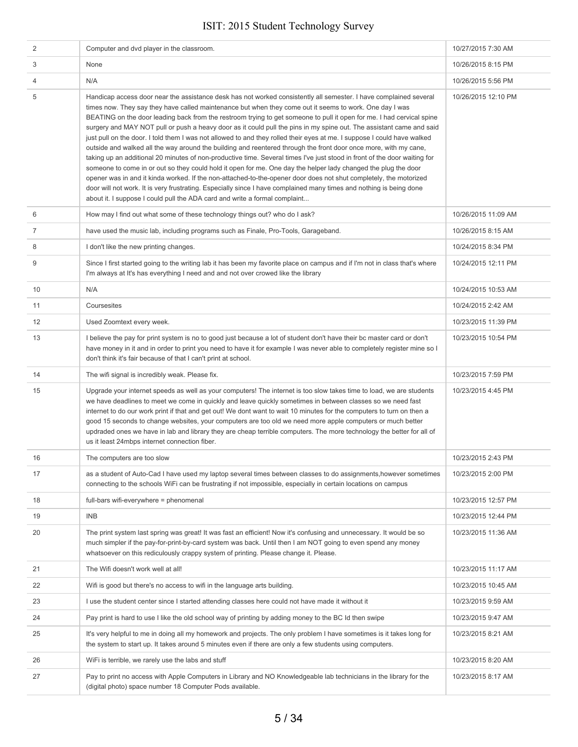| 2  | Computer and dvd player in the classroom.                                                                                                                                                                                                                                                                                                                                                                                                                                                                                                                                                                                                                                                                                                                                                                                                                                                                                                                                                                                                                                                                                                                                                                                                                                                             | 10/27/2015 7:30 AM  |
|----|-------------------------------------------------------------------------------------------------------------------------------------------------------------------------------------------------------------------------------------------------------------------------------------------------------------------------------------------------------------------------------------------------------------------------------------------------------------------------------------------------------------------------------------------------------------------------------------------------------------------------------------------------------------------------------------------------------------------------------------------------------------------------------------------------------------------------------------------------------------------------------------------------------------------------------------------------------------------------------------------------------------------------------------------------------------------------------------------------------------------------------------------------------------------------------------------------------------------------------------------------------------------------------------------------------|---------------------|
| 3  | None                                                                                                                                                                                                                                                                                                                                                                                                                                                                                                                                                                                                                                                                                                                                                                                                                                                                                                                                                                                                                                                                                                                                                                                                                                                                                                  | 10/26/2015 8:15 PM  |
| 4  | N/A                                                                                                                                                                                                                                                                                                                                                                                                                                                                                                                                                                                                                                                                                                                                                                                                                                                                                                                                                                                                                                                                                                                                                                                                                                                                                                   | 10/26/2015 5:56 PM  |
| 5  | Handicap access door near the assistance desk has not worked consistently all semester. I have complained several<br>times now. They say they have called maintenance but when they come out it seems to work. One day I was<br>BEATING on the door leading back from the restroom trying to get someone to pull it open for me. I had cervical spine<br>surgery and MAY NOT pull or push a heavy door as it could pull the pins in my spine out. The assistant came and said<br>just pull on the door. I told them I was not allowed to and they rolled their eyes at me. I suppose I could have walked<br>outside and walked all the way around the building and reentered through the front door once more, with my cane,<br>taking up an additional 20 minutes of non-productive time. Several times I've just stood in front of the door waiting for<br>someone to come in or out so they could hold it open for me. One day the helper lady changed the plug the door<br>opener was in and it kinda worked. If the non-attached-to-the-opener door does not shut completely, the motorized<br>door will not work. It is very frustrating. Especially since I have complained many times and nothing is being done<br>about it. I suppose I could pull the ADA card and write a formal complaint | 10/26/2015 12:10 PM |
| 6  | How may I find out what some of these technology things out? who do I ask?                                                                                                                                                                                                                                                                                                                                                                                                                                                                                                                                                                                                                                                                                                                                                                                                                                                                                                                                                                                                                                                                                                                                                                                                                            | 10/26/2015 11:09 AM |
| 7  | have used the music lab, including programs such as Finale, Pro-Tools, Garageband.                                                                                                                                                                                                                                                                                                                                                                                                                                                                                                                                                                                                                                                                                                                                                                                                                                                                                                                                                                                                                                                                                                                                                                                                                    | 10/26/2015 8:15 AM  |
| 8  | I don't like the new printing changes.                                                                                                                                                                                                                                                                                                                                                                                                                                                                                                                                                                                                                                                                                                                                                                                                                                                                                                                                                                                                                                                                                                                                                                                                                                                                | 10/24/2015 8:34 PM  |
| 9  | Since I first started going to the writing lab it has been my favorite place on campus and if I'm not in class that's where<br>I'm always at It's has everything I need and and not over crowed like the library                                                                                                                                                                                                                                                                                                                                                                                                                                                                                                                                                                                                                                                                                                                                                                                                                                                                                                                                                                                                                                                                                      | 10/24/2015 12:11 PM |
| 10 | N/A                                                                                                                                                                                                                                                                                                                                                                                                                                                                                                                                                                                                                                                                                                                                                                                                                                                                                                                                                                                                                                                                                                                                                                                                                                                                                                   | 10/24/2015 10:53 AM |
| 11 | Coursesites                                                                                                                                                                                                                                                                                                                                                                                                                                                                                                                                                                                                                                                                                                                                                                                                                                                                                                                                                                                                                                                                                                                                                                                                                                                                                           | 10/24/2015 2:42 AM  |
| 12 | Used Zoomtext every week.                                                                                                                                                                                                                                                                                                                                                                                                                                                                                                                                                                                                                                                                                                                                                                                                                                                                                                                                                                                                                                                                                                                                                                                                                                                                             | 10/23/2015 11:39 PM |
| 13 | I believe the pay for print system is no to good just because a lot of student don't have their bc master card or don't<br>have money in it and in order to print you need to have it for example I was never able to completely register mine so I<br>don't think it's fair because of that I can't print at school.                                                                                                                                                                                                                                                                                                                                                                                                                                                                                                                                                                                                                                                                                                                                                                                                                                                                                                                                                                                 | 10/23/2015 10:54 PM |
|    |                                                                                                                                                                                                                                                                                                                                                                                                                                                                                                                                                                                                                                                                                                                                                                                                                                                                                                                                                                                                                                                                                                                                                                                                                                                                                                       |                     |
| 14 | The wifi signal is incredibly weak. Please fix.                                                                                                                                                                                                                                                                                                                                                                                                                                                                                                                                                                                                                                                                                                                                                                                                                                                                                                                                                                                                                                                                                                                                                                                                                                                       | 10/23/2015 7:59 PM  |
| 15 | Upgrade your internet speeds as well as your computers! The internet is too slow takes time to load, we are students<br>we have deadlines to meet we come in quickly and leave quickly sometimes in between classes so we need fast<br>internet to do our work print if that and get out! We dont want to wait 10 minutes for the computers to turn on then a<br>good 15 seconds to change websites, your computers are too old we need more apple computers or much better<br>updraded ones we have in lab and library they are cheap terrible computers. The more technology the better for all of<br>us it least 24mbps internet connection fiber.                                                                                                                                                                                                                                                                                                                                                                                                                                                                                                                                                                                                                                                 | 10/23/2015 4:45 PM  |
| 16 | The computers are too slow                                                                                                                                                                                                                                                                                                                                                                                                                                                                                                                                                                                                                                                                                                                                                                                                                                                                                                                                                                                                                                                                                                                                                                                                                                                                            | 10/23/2015 2:43 PM  |
| 17 | as a student of Auto-Cad I have used my laptop several times between classes to do assignments, however sometimes<br>connecting to the schools WiFi can be frustrating if not impossible, especially in certain locations on campus                                                                                                                                                                                                                                                                                                                                                                                                                                                                                                                                                                                                                                                                                                                                                                                                                                                                                                                                                                                                                                                                   | 10/23/2015 2:00 PM  |
| 18 | full-bars wifi-everywhere = phenomenal                                                                                                                                                                                                                                                                                                                                                                                                                                                                                                                                                                                                                                                                                                                                                                                                                                                                                                                                                                                                                                                                                                                                                                                                                                                                | 10/23/2015 12:57 PM |
| 19 | <b>INB</b>                                                                                                                                                                                                                                                                                                                                                                                                                                                                                                                                                                                                                                                                                                                                                                                                                                                                                                                                                                                                                                                                                                                                                                                                                                                                                            | 10/23/2015 12:44 PM |
| 20 | The print system last spring was great! It was fast an efficient! Now it's confusing and unnecessary. It would be so<br>much simpler if the pay-for-print-by-card system was back. Until then I am NOT going to even spend any money<br>whatsoever on this rediculously crappy system of printing. Please change it. Please.                                                                                                                                                                                                                                                                                                                                                                                                                                                                                                                                                                                                                                                                                                                                                                                                                                                                                                                                                                          | 10/23/2015 11:36 AM |
| 21 | The Wifi doesn't work well at all!                                                                                                                                                                                                                                                                                                                                                                                                                                                                                                                                                                                                                                                                                                                                                                                                                                                                                                                                                                                                                                                                                                                                                                                                                                                                    | 10/23/2015 11:17 AM |
| 22 | Wifi is good but there's no access to wifi in the language arts building.                                                                                                                                                                                                                                                                                                                                                                                                                                                                                                                                                                                                                                                                                                                                                                                                                                                                                                                                                                                                                                                                                                                                                                                                                             | 10/23/2015 10:45 AM |
| 23 | I use the student center since I started attending classes here could not have made it without it                                                                                                                                                                                                                                                                                                                                                                                                                                                                                                                                                                                                                                                                                                                                                                                                                                                                                                                                                                                                                                                                                                                                                                                                     | 10/23/2015 9:59 AM  |
| 24 | Pay print is hard to use I like the old school way of printing by adding money to the BC Id then swipe                                                                                                                                                                                                                                                                                                                                                                                                                                                                                                                                                                                                                                                                                                                                                                                                                                                                                                                                                                                                                                                                                                                                                                                                | 10/23/2015 9:47 AM  |
| 25 | It's very helpful to me in doing all my homework and projects. The only problem I have sometimes is it takes long for<br>the system to start up. It takes around 5 minutes even if there are only a few students using computers.                                                                                                                                                                                                                                                                                                                                                                                                                                                                                                                                                                                                                                                                                                                                                                                                                                                                                                                                                                                                                                                                     | 10/23/2015 8:21 AM  |
| 26 | WiFi is terrible, we rarely use the labs and stuff                                                                                                                                                                                                                                                                                                                                                                                                                                                                                                                                                                                                                                                                                                                                                                                                                                                                                                                                                                                                                                                                                                                                                                                                                                                    | 10/23/2015 8:20 AM  |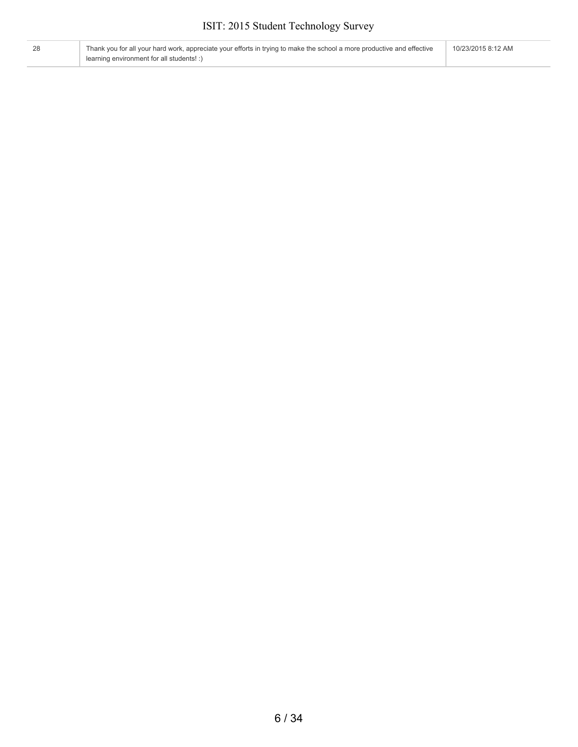| 28 | Thank you for all your hard work, appreciate your efforts in trying to make the school a more productive and effective | 10/23/2015 8:12 AM |
|----|------------------------------------------------------------------------------------------------------------------------|--------------------|
|    | learning environment for all students! :)                                                                              |                    |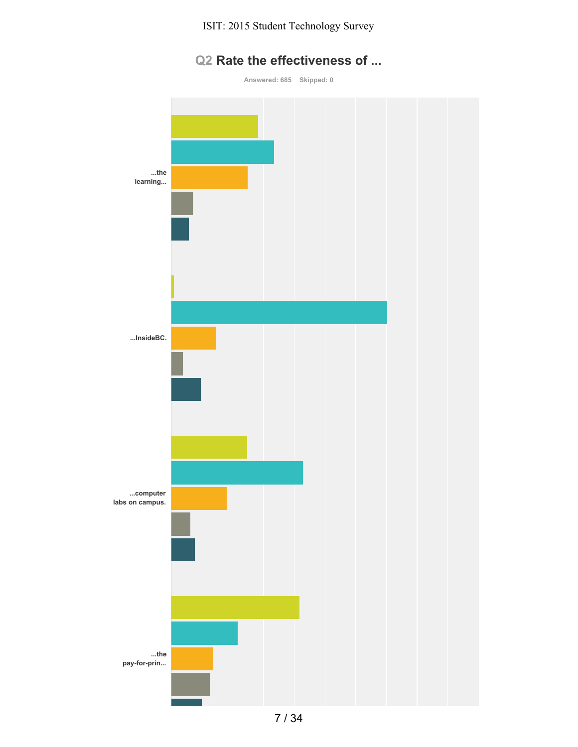

**Answered: 685 Skipped: 0**

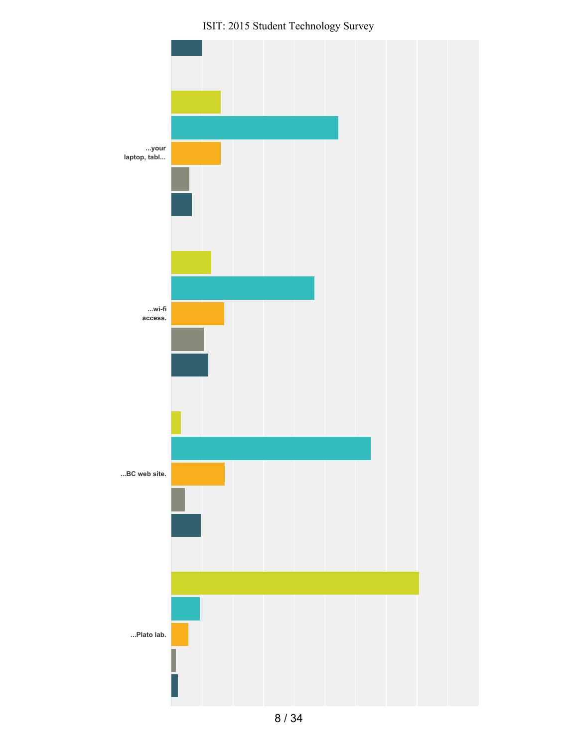ISIT: 2015 Student Technology Survey

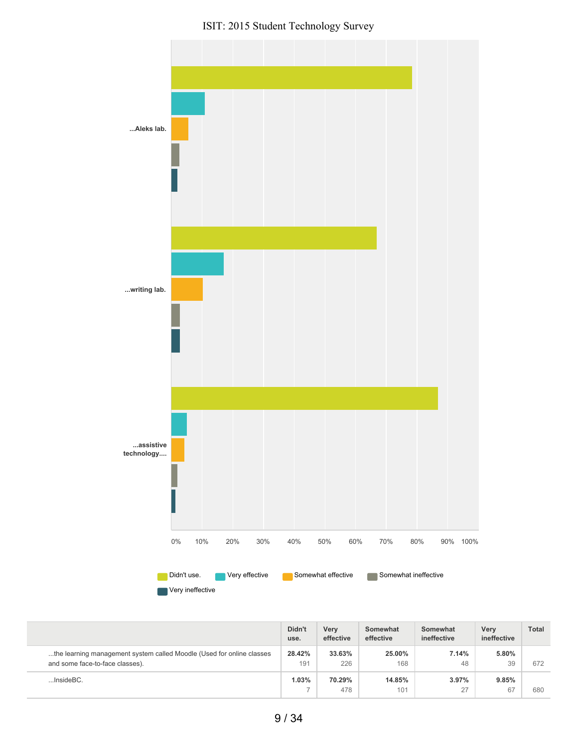ISIT: 2015 Student Technology Survey



|                                                                                                          | Didn't<br>use. | Verv<br>effective | Somewhat<br>effective | Somewhat<br>ineffective | <b>Very</b><br>ineffective | <b>Total</b> |
|----------------------------------------------------------------------------------------------------------|----------------|-------------------|-----------------------|-------------------------|----------------------------|--------------|
| the learning management system called Moodle (Used for online classes<br>and some face-to-face classes). | 28.42%<br>191  | 33.63%<br>226     | 25.00%<br>168         | 7.14%<br>48             | 5.80%<br>39                | 672          |
| $$ Inside $BC$ .                                                                                         | 1.03%          | 70.29%<br>478     | 14.85%<br>101         | 3.97%<br>27             | 9.85%<br>67                | 680          |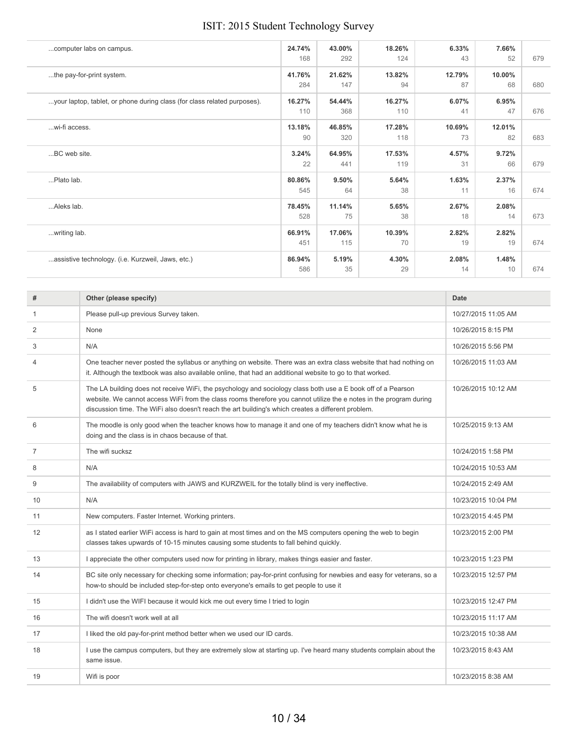| computer labs on campus.                                                 | 24.74%<br>168 | 43.00%<br>292 | 18.26%<br>124 | 6.33%<br>43  | 7.66%<br>52  | 679 |
|--------------------------------------------------------------------------|---------------|---------------|---------------|--------------|--------------|-----|
| the pay-for-print system.                                                | 41.76%<br>284 | 21.62%<br>147 | 13.82%<br>94  | 12.79%<br>87 | 10.00%<br>68 | 680 |
| your laptop, tablet, or phone during class (for class related purposes). | 16.27%<br>110 | 54.44%<br>368 | 16.27%<br>110 | 6.07%<br>41  | 6.95%<br>47  | 676 |
| wi-fi access.                                                            | 13.18%<br>90  | 46.85%<br>320 | 17.28%<br>118 | 10.69%<br>73 | 12.01%<br>82 | 683 |
| BC web site.                                                             | 3.24%<br>22   | 64.95%<br>441 | 17.53%<br>119 | 4.57%<br>31  | 9.72%<br>66  | 679 |
| Plato lab.                                                               | 80.86%<br>545 | 9.50%<br>64   | 5.64%<br>38   | 1.63%<br>11  | 2.37%<br>16  | 674 |
| Aleks lab.                                                               | 78.45%<br>528 | 11.14%<br>75  | 5.65%<br>38   | 2.67%<br>18  | 2.08%<br>14  | 673 |
| writing lab.                                                             | 66.91%<br>451 | 17.06%<br>115 | 10.39%<br>70  | 2.82%<br>19  | 2.82%<br>19  | 674 |
| assistive technology. (i.e. Kurzweil, Jaws, etc.)                        | 86.94%<br>586 | 5.19%<br>35   | 4.30%<br>29   | 2.08%<br>14  | 1.48%<br>10  | 674 |

| #              | Other (please specify)                                                                                                                                                                                                                                                                                                                   | <b>Date</b>         |
|----------------|------------------------------------------------------------------------------------------------------------------------------------------------------------------------------------------------------------------------------------------------------------------------------------------------------------------------------------------|---------------------|
| 1              | Please pull-up previous Survey taken.                                                                                                                                                                                                                                                                                                    | 10/27/2015 11:05 AM |
| 2              | None                                                                                                                                                                                                                                                                                                                                     | 10/26/2015 8:15 PM  |
| 3              | N/A                                                                                                                                                                                                                                                                                                                                      | 10/26/2015 5:56 PM  |
| 4              | One teacher never posted the syllabus or anything on website. There was an extra class website that had nothing on<br>it. Although the textbook was also available online, that had an additional website to go to that worked.                                                                                                          | 10/26/2015 11:03 AM |
| 5              | The LA building does not receive WiFi, the psychology and sociology class both use a E book off of a Pearson<br>website. We cannot access WiFi from the class rooms therefore you cannot utilize the e notes in the program during<br>discussion time. The WiFi also doesn't reach the art building's which creates a different problem. | 10/26/2015 10:12 AM |
| 6              | The moodle is only good when the teacher knows how to manage it and one of my teachers didn't know what he is<br>doing and the class is in chaos because of that.                                                                                                                                                                        | 10/25/2015 9:13 AM  |
| $\overline{7}$ | The wifi sucksz                                                                                                                                                                                                                                                                                                                          | 10/24/2015 1:58 PM  |
| 8              | N/A                                                                                                                                                                                                                                                                                                                                      | 10/24/2015 10:53 AM |
| 9              | The availability of computers with JAWS and KURZWEIL for the totally blind is very ineffective.                                                                                                                                                                                                                                          | 10/24/2015 2:49 AM  |
| 10             | N/A                                                                                                                                                                                                                                                                                                                                      | 10/23/2015 10:04 PM |
| 11             | New computers. Faster Internet. Working printers.                                                                                                                                                                                                                                                                                        | 10/23/2015 4:45 PM  |
| 12             | as I stated earlier WiFi access is hard to gain at most times and on the MS computers opening the web to begin<br>classes takes upwards of 10-15 minutes causing some students to fall behind quickly.                                                                                                                                   | 10/23/2015 2:00 PM  |
| 13             | I appreciate the other computers used now for printing in library, makes things easier and faster.                                                                                                                                                                                                                                       | 10/23/2015 1:23 PM  |
| 14             | BC site only necessary for checking some information; pay-for-print confusing for newbies and easy for veterans, so a<br>how-to should be included step-for-step onto everyone's emails to get people to use it                                                                                                                          | 10/23/2015 12:57 PM |
| 15             | I didn't use the WIFI because it would kick me out every time I tried to login                                                                                                                                                                                                                                                           | 10/23/2015 12:47 PM |
| 16             | The wifi doesn't work well at all                                                                                                                                                                                                                                                                                                        | 10/23/2015 11:17 AM |
| 17             | I liked the old pay-for-print method better when we used our ID cards.                                                                                                                                                                                                                                                                   | 10/23/2015 10:38 AM |
| 18             | I use the campus computers, but they are extremely slow at starting up. I've heard many students complain about the<br>same issue.                                                                                                                                                                                                       | 10/23/2015 8:43 AM  |
| 19             | Wifi is poor                                                                                                                                                                                                                                                                                                                             | 10/23/2015 8:38 AM  |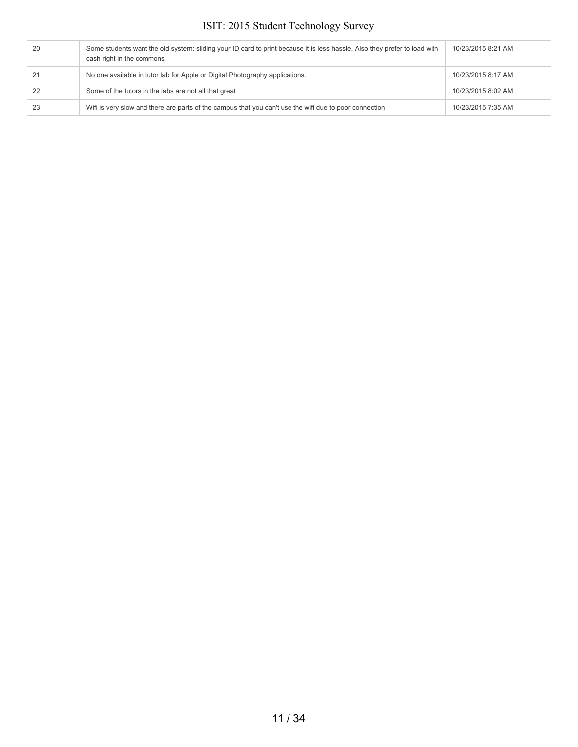| 20 | Some students want the old system: sliding your ID card to print because it is less hassle. Also they prefer to load with<br>cash right in the commons | 10/23/2015 8:21 AM |
|----|--------------------------------------------------------------------------------------------------------------------------------------------------------|--------------------|
|    | No one available in tutor lab for Apple or Digital Photography applications.                                                                           | 10/23/2015 8:17 AM |
| 22 | Some of the tutors in the labs are not all that great                                                                                                  | 10/23/2015 8:02 AM |
| 23 | Wifi is very slow and there are parts of the campus that you can't use the wifi due to poor connection                                                 | 10/23/2015 7:35 AM |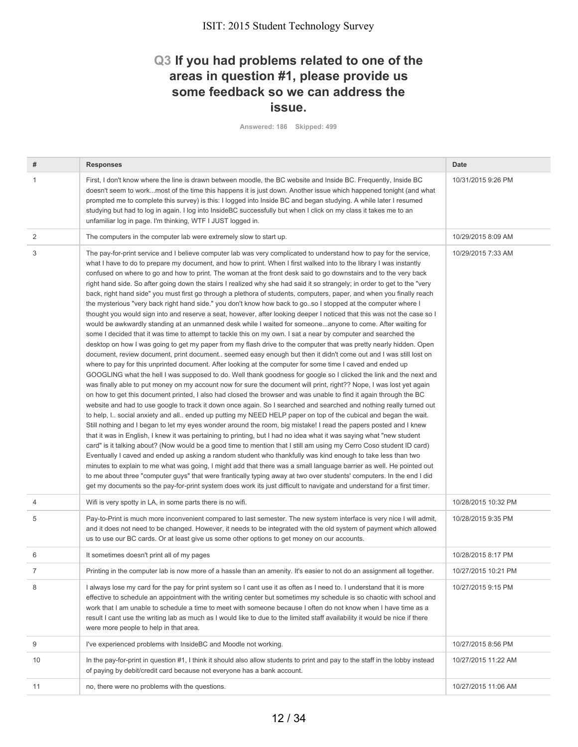## **Q3 If you had problems related to one of the areas in question #1, please provide us some feedback so we can address the issue.**

**Answered: 186 Skipped: 499**

| #  | <b>Responses</b>                                                                                                                                                                                                                                                                                                                                                                                                                                                                                                                                                                                                                                                                                                                                                                                                                                                                                                                                                                                                                                                                                                                                                                                                                                                                                                                                                                                                                                                                                                                                                                                                                                                                                                                                                                                                                                                                                                                                                                                                                                                                                                                                                                                                                                                                                                                                                                                                                                                                                                                                                                                                                                                                                                                                                                                                                                                                                                                        | Date                |
|----|-----------------------------------------------------------------------------------------------------------------------------------------------------------------------------------------------------------------------------------------------------------------------------------------------------------------------------------------------------------------------------------------------------------------------------------------------------------------------------------------------------------------------------------------------------------------------------------------------------------------------------------------------------------------------------------------------------------------------------------------------------------------------------------------------------------------------------------------------------------------------------------------------------------------------------------------------------------------------------------------------------------------------------------------------------------------------------------------------------------------------------------------------------------------------------------------------------------------------------------------------------------------------------------------------------------------------------------------------------------------------------------------------------------------------------------------------------------------------------------------------------------------------------------------------------------------------------------------------------------------------------------------------------------------------------------------------------------------------------------------------------------------------------------------------------------------------------------------------------------------------------------------------------------------------------------------------------------------------------------------------------------------------------------------------------------------------------------------------------------------------------------------------------------------------------------------------------------------------------------------------------------------------------------------------------------------------------------------------------------------------------------------------------------------------------------------------------------------------------------------------------------------------------------------------------------------------------------------------------------------------------------------------------------------------------------------------------------------------------------------------------------------------------------------------------------------------------------------------------------------------------------------------------------------------------------------|---------------------|
| 1  | First, I don't know where the line is drawn between moodle, the BC website and Inside BC. Frequently, Inside BC<br>doesn't seem to workmost of the time this happens it is just down. Another issue which happened tonight (and what<br>prompted me to complete this survey) is this: I logged into Inside BC and began studying. A while later I resumed<br>studying but had to log in again. I log into InsideBC successfully but when I click on my class it takes me to an<br>unfamiliar log in page. I'm thinking, WTF I JUST logged in.                                                                                                                                                                                                                                                                                                                                                                                                                                                                                                                                                                                                                                                                                                                                                                                                                                                                                                                                                                                                                                                                                                                                                                                                                                                                                                                                                                                                                                                                                                                                                                                                                                                                                                                                                                                                                                                                                                                                                                                                                                                                                                                                                                                                                                                                                                                                                                                           | 10/31/2015 9:26 PM  |
| 2  | The computers in the computer lab were extremely slow to start up.                                                                                                                                                                                                                                                                                                                                                                                                                                                                                                                                                                                                                                                                                                                                                                                                                                                                                                                                                                                                                                                                                                                                                                                                                                                                                                                                                                                                                                                                                                                                                                                                                                                                                                                                                                                                                                                                                                                                                                                                                                                                                                                                                                                                                                                                                                                                                                                                                                                                                                                                                                                                                                                                                                                                                                                                                                                                      | 10/29/2015 8:09 AM  |
| 3  | The pay-for-print service and I believe computer lab was very complicated to understand how to pay for the service,<br>what I have to do to prepare my document, and how to print. When I first walked into to the library I was instantly<br>confused on where to go and how to print. The woman at the front desk said to go downstairs and to the very back<br>right hand side. So after going down the stairs I realized why she had said it so strangely; in order to get to the "very<br>back, right hand side" you must first go through a plethora of students, computers, paper, and when you finally reach<br>the mysterious "very back right hand side." you don't know how back to goso I stopped at the computer where I<br>thought you would sign into and reserve a seat, however, after looking deeper I noticed that this was not the case so I<br>would be awkwardly standing at an unmanned desk while I waited for someoneanyone to come. After waiting for<br>some I decided that it was time to attempt to tackle this on my own. I sat a near by computer and searched the<br>desktop on how I was going to get my paper from my flash drive to the computer that was pretty nearly hidden. Open<br>document, review document, print document seemed easy enough but then it didn't come out and I was still lost on<br>where to pay for this unprinted document. After looking at the computer for some time I caved and ended up<br>GOOGLING what the hell I was supposed to do. Well thank goodness for google so I clicked the link and the next and<br>was finally able to put money on my account now for sure the document will print, right?? Nope, I was lost yet again<br>on how to get this document printed, I also had closed the browser and was unable to find it again through the BC<br>website and had to use google to track it down once again. So I searched and searched and nothing really turned out<br>to help, I social anxiety and all ended up putting my NEED HELP paper on top of the cubical and began the wait.<br>Still nothing and I began to let my eyes wonder around the room, big mistake! I read the papers posted and I knew<br>that it was in English, I knew it was pertaining to printing, but I had no idea what it was saying what "new student<br>card" is it talking about? (Now would be a good time to mention that I still am using my Cerro Coso student ID card)<br>Eventually I caved and ended up asking a random student who thankfully was kind enough to take less than two<br>minutes to explain to me what was going, I might add that there was a small language barrier as well. He pointed out<br>to me about three "computer guys" that were frantically typing away at two over students' computers. In the end I did<br>get my documents so the pay-for-print system does work its just difficult to navigate and understand for a first timer. | 10/29/2015 7:33 AM  |
| 4  | Wifi is very spotty in LA, in some parts there is no wifi.                                                                                                                                                                                                                                                                                                                                                                                                                                                                                                                                                                                                                                                                                                                                                                                                                                                                                                                                                                                                                                                                                                                                                                                                                                                                                                                                                                                                                                                                                                                                                                                                                                                                                                                                                                                                                                                                                                                                                                                                                                                                                                                                                                                                                                                                                                                                                                                                                                                                                                                                                                                                                                                                                                                                                                                                                                                                              | 10/28/2015 10:32 PM |
| 5  | Pay-to-Print is much more inconvenient compared to last semester. The new system interface is very nice I will admit,<br>and it does not need to be changed. However, it needs to be integrated with the old system of payment which allowed<br>us to use our BC cards. Or at least give us some other options to get money on our accounts.                                                                                                                                                                                                                                                                                                                                                                                                                                                                                                                                                                                                                                                                                                                                                                                                                                                                                                                                                                                                                                                                                                                                                                                                                                                                                                                                                                                                                                                                                                                                                                                                                                                                                                                                                                                                                                                                                                                                                                                                                                                                                                                                                                                                                                                                                                                                                                                                                                                                                                                                                                                            | 10/28/2015 9:35 PM  |
| 6  | It sometimes doesn't print all of my pages                                                                                                                                                                                                                                                                                                                                                                                                                                                                                                                                                                                                                                                                                                                                                                                                                                                                                                                                                                                                                                                                                                                                                                                                                                                                                                                                                                                                                                                                                                                                                                                                                                                                                                                                                                                                                                                                                                                                                                                                                                                                                                                                                                                                                                                                                                                                                                                                                                                                                                                                                                                                                                                                                                                                                                                                                                                                                              | 10/28/2015 8:17 PM  |
| 7  | Printing in the computer lab is now more of a hassle than an amenity. It's easier to not do an assignment all together.                                                                                                                                                                                                                                                                                                                                                                                                                                                                                                                                                                                                                                                                                                                                                                                                                                                                                                                                                                                                                                                                                                                                                                                                                                                                                                                                                                                                                                                                                                                                                                                                                                                                                                                                                                                                                                                                                                                                                                                                                                                                                                                                                                                                                                                                                                                                                                                                                                                                                                                                                                                                                                                                                                                                                                                                                 | 10/27/2015 10:21 PM |
| 8  | I always lose my card for the pay for print system so I cant use it as often as I need to. I understand that it is more<br>effective to schedule an appointment with the writing center but sometimes my schedule is so chaotic with school and<br>work that I am unable to schedule a time to meet with someone because I often do not know when I have time as a<br>result I cant use the writing lab as much as I would like to due to the limited staff availability it would be nice if there<br>were more people to help in that area.                                                                                                                                                                                                                                                                                                                                                                                                                                                                                                                                                                                                                                                                                                                                                                                                                                                                                                                                                                                                                                                                                                                                                                                                                                                                                                                                                                                                                                                                                                                                                                                                                                                                                                                                                                                                                                                                                                                                                                                                                                                                                                                                                                                                                                                                                                                                                                                            | 10/27/2015 9:15 PM  |
| 9  | I've experienced problems with InsideBC and Moodle not working.                                                                                                                                                                                                                                                                                                                                                                                                                                                                                                                                                                                                                                                                                                                                                                                                                                                                                                                                                                                                                                                                                                                                                                                                                                                                                                                                                                                                                                                                                                                                                                                                                                                                                                                                                                                                                                                                                                                                                                                                                                                                                                                                                                                                                                                                                                                                                                                                                                                                                                                                                                                                                                                                                                                                                                                                                                                                         | 10/27/2015 8:56 PM  |
| 10 | In the pay-for-print in question #1, I think it should also allow students to print and pay to the staff in the lobby instead<br>of paying by debit/credit card because not everyone has a bank account.                                                                                                                                                                                                                                                                                                                                                                                                                                                                                                                                                                                                                                                                                                                                                                                                                                                                                                                                                                                                                                                                                                                                                                                                                                                                                                                                                                                                                                                                                                                                                                                                                                                                                                                                                                                                                                                                                                                                                                                                                                                                                                                                                                                                                                                                                                                                                                                                                                                                                                                                                                                                                                                                                                                                | 10/27/2015 11:22 AM |
| 11 | no, there were no problems with the questions.                                                                                                                                                                                                                                                                                                                                                                                                                                                                                                                                                                                                                                                                                                                                                                                                                                                                                                                                                                                                                                                                                                                                                                                                                                                                                                                                                                                                                                                                                                                                                                                                                                                                                                                                                                                                                                                                                                                                                                                                                                                                                                                                                                                                                                                                                                                                                                                                                                                                                                                                                                                                                                                                                                                                                                                                                                                                                          | 10/27/2015 11:06 AM |
|    |                                                                                                                                                                                                                                                                                                                                                                                                                                                                                                                                                                                                                                                                                                                                                                                                                                                                                                                                                                                                                                                                                                                                                                                                                                                                                                                                                                                                                                                                                                                                                                                                                                                                                                                                                                                                                                                                                                                                                                                                                                                                                                                                                                                                                                                                                                                                                                                                                                                                                                                                                                                                                                                                                                                                                                                                                                                                                                                                         |                     |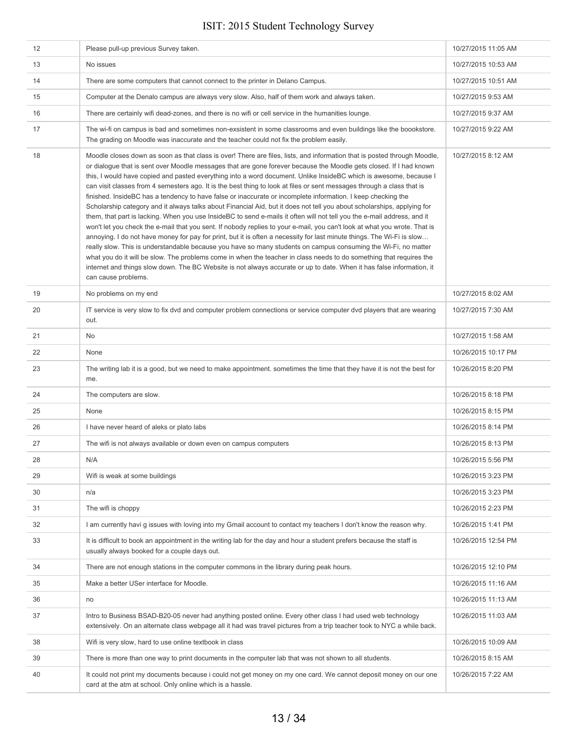| 12 | Please pull-up previous Survey taken.                                                                                                                                                                                                                                                                                                                                                                                                                                                                                                                                                                                                                                                                                                                                                                                                                                                                                                                                                                                                                                                                                                                                                                                                                                                                                                                                                                                                                                                                               | 10/27/2015 11:05 AM |
|----|---------------------------------------------------------------------------------------------------------------------------------------------------------------------------------------------------------------------------------------------------------------------------------------------------------------------------------------------------------------------------------------------------------------------------------------------------------------------------------------------------------------------------------------------------------------------------------------------------------------------------------------------------------------------------------------------------------------------------------------------------------------------------------------------------------------------------------------------------------------------------------------------------------------------------------------------------------------------------------------------------------------------------------------------------------------------------------------------------------------------------------------------------------------------------------------------------------------------------------------------------------------------------------------------------------------------------------------------------------------------------------------------------------------------------------------------------------------------------------------------------------------------|---------------------|
| 13 | No issues                                                                                                                                                                                                                                                                                                                                                                                                                                                                                                                                                                                                                                                                                                                                                                                                                                                                                                                                                                                                                                                                                                                                                                                                                                                                                                                                                                                                                                                                                                           | 10/27/2015 10:53 AM |
| 14 | There are some computers that cannot connect to the printer in Delano Campus.                                                                                                                                                                                                                                                                                                                                                                                                                                                                                                                                                                                                                                                                                                                                                                                                                                                                                                                                                                                                                                                                                                                                                                                                                                                                                                                                                                                                                                       | 10/27/2015 10:51 AM |
| 15 | Computer at the Denalo campus are always very slow. Also, half of them work and always taken.                                                                                                                                                                                                                                                                                                                                                                                                                                                                                                                                                                                                                                                                                                                                                                                                                                                                                                                                                                                                                                                                                                                                                                                                                                                                                                                                                                                                                       | 10/27/2015 9:53 AM  |
| 16 | There are certainly wifi dead-zones, and there is no wifi or cell service in the humanities lounge.                                                                                                                                                                                                                                                                                                                                                                                                                                                                                                                                                                                                                                                                                                                                                                                                                                                                                                                                                                                                                                                                                                                                                                                                                                                                                                                                                                                                                 | 10/27/2015 9:37 AM  |
| 17 | The wi-fi on campus is bad and sometimes non-exsistent in some classrooms and even buildings like the boookstore.<br>The grading on Moodle was inaccurate and the teacher could not fix the problem easily.                                                                                                                                                                                                                                                                                                                                                                                                                                                                                                                                                                                                                                                                                                                                                                                                                                                                                                                                                                                                                                                                                                                                                                                                                                                                                                         | 10/27/2015 9:22 AM  |
| 18 | Moodle closes down as soon as that class is over! There are files, lists, and information that is posted through Moodle,<br>or dialogue that is sent over Moodle messages that are gone forever because the Moodle gets closed. If I had known<br>this, I would have copied and pasted everything into a word document. Unlike InsideBC which is awesome, because I<br>can visit classes from 4 semesters ago. It is the best thing to look at files or sent messages through a class that is<br>finished. InsideBC has a tendency to have false or inaccurate or incomplete information. I keep checking the<br>Scholarship category and it always talks about Financial Aid, but it does not tell you about scholarships, applying for<br>them, that part is lacking. When you use InsideBC to send e-mails it often will not tell you the e-mail address, and it<br>won't let you check the e-mail that you sent. If nobody replies to your e-mail, you can't look at what you wrote. That is<br>annoying. I do not have money for pay for print, but it is often a necessity for last minute things. The Wi-Fi is slow<br>really slow. This is understandable because you have so many students on campus consuming the Wi-Fi, no matter<br>what you do it will be slow. The problems come in when the teacher in class needs to do something that requires the<br>internet and things slow down. The BC Website is not always accurate or up to date. When it has false information, it<br>can cause problems. | 10/27/2015 8:12 AM  |
| 19 | No problems on my end                                                                                                                                                                                                                                                                                                                                                                                                                                                                                                                                                                                                                                                                                                                                                                                                                                                                                                                                                                                                                                                                                                                                                                                                                                                                                                                                                                                                                                                                                               | 10/27/2015 8:02 AM  |
| 20 | IT service is very slow to fix dvd and computer problem connections or service computer dvd players that are wearing<br>out.                                                                                                                                                                                                                                                                                                                                                                                                                                                                                                                                                                                                                                                                                                                                                                                                                                                                                                                                                                                                                                                                                                                                                                                                                                                                                                                                                                                        | 10/27/2015 7:30 AM  |
| 21 | No                                                                                                                                                                                                                                                                                                                                                                                                                                                                                                                                                                                                                                                                                                                                                                                                                                                                                                                                                                                                                                                                                                                                                                                                                                                                                                                                                                                                                                                                                                                  | 10/27/2015 1:58 AM  |
| 22 | None                                                                                                                                                                                                                                                                                                                                                                                                                                                                                                                                                                                                                                                                                                                                                                                                                                                                                                                                                                                                                                                                                                                                                                                                                                                                                                                                                                                                                                                                                                                | 10/26/2015 10:17 PM |
| 23 | The writing lab it is a good, but we need to make appointment. sometimes the time that they have it is not the best for<br>me.                                                                                                                                                                                                                                                                                                                                                                                                                                                                                                                                                                                                                                                                                                                                                                                                                                                                                                                                                                                                                                                                                                                                                                                                                                                                                                                                                                                      | 10/26/2015 8:20 PM  |
| 24 | The computers are slow.                                                                                                                                                                                                                                                                                                                                                                                                                                                                                                                                                                                                                                                                                                                                                                                                                                                                                                                                                                                                                                                                                                                                                                                                                                                                                                                                                                                                                                                                                             | 10/26/2015 8:18 PM  |
| 25 | None                                                                                                                                                                                                                                                                                                                                                                                                                                                                                                                                                                                                                                                                                                                                                                                                                                                                                                                                                                                                                                                                                                                                                                                                                                                                                                                                                                                                                                                                                                                | 10/26/2015 8:15 PM  |
| 26 | I have never heard of aleks or plato labs                                                                                                                                                                                                                                                                                                                                                                                                                                                                                                                                                                                                                                                                                                                                                                                                                                                                                                                                                                                                                                                                                                                                                                                                                                                                                                                                                                                                                                                                           | 10/26/2015 8:14 PM  |
| 27 | The wifi is not always available or down even on campus computers                                                                                                                                                                                                                                                                                                                                                                                                                                                                                                                                                                                                                                                                                                                                                                                                                                                                                                                                                                                                                                                                                                                                                                                                                                                                                                                                                                                                                                                   | 10/26/2015 8:13 PM  |
| 28 | N/A                                                                                                                                                                                                                                                                                                                                                                                                                                                                                                                                                                                                                                                                                                                                                                                                                                                                                                                                                                                                                                                                                                                                                                                                                                                                                                                                                                                                                                                                                                                 | 10/26/2015 5:56 PM  |
| 29 | Wifi is weak at some buildings                                                                                                                                                                                                                                                                                                                                                                                                                                                                                                                                                                                                                                                                                                                                                                                                                                                                                                                                                                                                                                                                                                                                                                                                                                                                                                                                                                                                                                                                                      | 10/26/2015 3:23 PM  |
| 30 | n/a                                                                                                                                                                                                                                                                                                                                                                                                                                                                                                                                                                                                                                                                                                                                                                                                                                                                                                                                                                                                                                                                                                                                                                                                                                                                                                                                                                                                                                                                                                                 | 10/26/2015 3:23 PM  |
| 31 | The wifi is choppy                                                                                                                                                                                                                                                                                                                                                                                                                                                                                                                                                                                                                                                                                                                                                                                                                                                                                                                                                                                                                                                                                                                                                                                                                                                                                                                                                                                                                                                                                                  | 10/26/2015 2:23 PM  |
| 32 | I am currently havi g issues with loving into my Gmail account to contact my teachers I don't know the reason why.                                                                                                                                                                                                                                                                                                                                                                                                                                                                                                                                                                                                                                                                                                                                                                                                                                                                                                                                                                                                                                                                                                                                                                                                                                                                                                                                                                                                  | 10/26/2015 1:41 PM  |
| 33 | It is difficult to book an appointment in the writing lab for the day and hour a student prefers because the staff is<br>usually always booked for a couple days out.                                                                                                                                                                                                                                                                                                                                                                                                                                                                                                                                                                                                                                                                                                                                                                                                                                                                                                                                                                                                                                                                                                                                                                                                                                                                                                                                               | 10/26/2015 12:54 PM |
| 34 | There are not enough stations in the computer commons in the library during peak hours.                                                                                                                                                                                                                                                                                                                                                                                                                                                                                                                                                                                                                                                                                                                                                                                                                                                                                                                                                                                                                                                                                                                                                                                                                                                                                                                                                                                                                             | 10/26/2015 12:10 PM |
| 35 | Make a better USer interface for Moodle.                                                                                                                                                                                                                                                                                                                                                                                                                                                                                                                                                                                                                                                                                                                                                                                                                                                                                                                                                                                                                                                                                                                                                                                                                                                                                                                                                                                                                                                                            | 10/26/2015 11:16 AM |
| 36 | no                                                                                                                                                                                                                                                                                                                                                                                                                                                                                                                                                                                                                                                                                                                                                                                                                                                                                                                                                                                                                                                                                                                                                                                                                                                                                                                                                                                                                                                                                                                  | 10/26/2015 11:13 AM |
| 37 | Intro to Business BSAD-B20-05 never had anything posted online. Every other class I had used web technology<br>extensively. On an alternate class webpage all it had was travel pictures from a trip teacher took to NYC a while back.                                                                                                                                                                                                                                                                                                                                                                                                                                                                                                                                                                                                                                                                                                                                                                                                                                                                                                                                                                                                                                                                                                                                                                                                                                                                              | 10/26/2015 11:03 AM |
| 38 | Wifi is very slow, hard to use online textbook in class                                                                                                                                                                                                                                                                                                                                                                                                                                                                                                                                                                                                                                                                                                                                                                                                                                                                                                                                                                                                                                                                                                                                                                                                                                                                                                                                                                                                                                                             | 10/26/2015 10:09 AM |
| 39 | There is more than one way to print documents in the computer lab that was not shown to all students.                                                                                                                                                                                                                                                                                                                                                                                                                                                                                                                                                                                                                                                                                                                                                                                                                                                                                                                                                                                                                                                                                                                                                                                                                                                                                                                                                                                                               | 10/26/2015 8:15 AM  |
| 40 | It could not print my documents because i could not get money on my one card. We cannot deposit money on our one<br>card at the atm at school. Only online which is a hassle.                                                                                                                                                                                                                                                                                                                                                                                                                                                                                                                                                                                                                                                                                                                                                                                                                                                                                                                                                                                                                                                                                                                                                                                                                                                                                                                                       | 10/26/2015 7:22 AM  |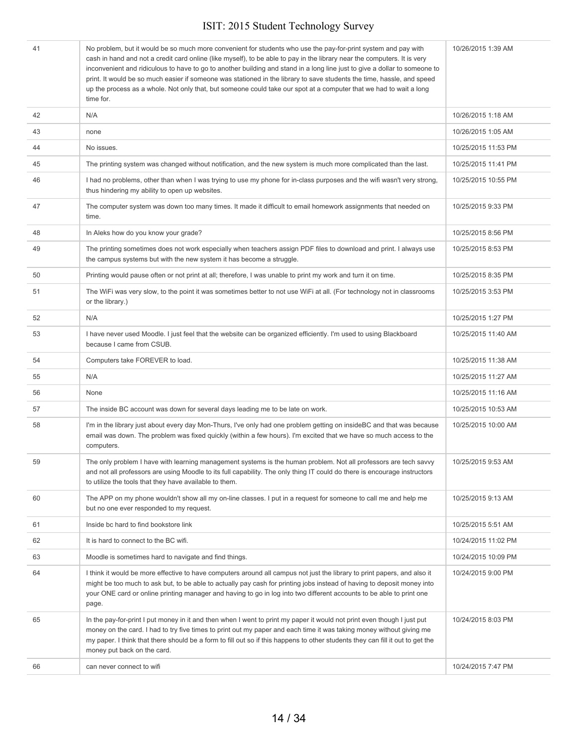| 41 | No problem, but it would be so much more convenient for students who use the pay-for-print system and pay with<br>cash in hand and not a credit card online (like myself), to be able to pay in the library near the computers. It is very<br>inconvenient and ridiculous to have to go to another building and stand in a long line just to give a dollar to someone to<br>print. It would be so much easier if someone was stationed in the library to save students the time, hassle, and speed<br>up the process as a whole. Not only that, but someone could take our spot at a computer that we had to wait a long<br>time for. | 10/26/2015 1:39 AM  |
|----|---------------------------------------------------------------------------------------------------------------------------------------------------------------------------------------------------------------------------------------------------------------------------------------------------------------------------------------------------------------------------------------------------------------------------------------------------------------------------------------------------------------------------------------------------------------------------------------------------------------------------------------|---------------------|
| 42 | N/A                                                                                                                                                                                                                                                                                                                                                                                                                                                                                                                                                                                                                                   | 10/26/2015 1:18 AM  |
| 43 | none                                                                                                                                                                                                                                                                                                                                                                                                                                                                                                                                                                                                                                  | 10/26/2015 1:05 AM  |
| 44 | No issues.                                                                                                                                                                                                                                                                                                                                                                                                                                                                                                                                                                                                                            | 10/25/2015 11:53 PM |
| 45 | The printing system was changed without notification, and the new system is much more complicated than the last.                                                                                                                                                                                                                                                                                                                                                                                                                                                                                                                      | 10/25/2015 11:41 PM |
| 46 | I had no problems, other than when I was trying to use my phone for in-class purposes and the wifi wasn't very strong,<br>thus hindering my ability to open up websites.                                                                                                                                                                                                                                                                                                                                                                                                                                                              | 10/25/2015 10:55 PM |
| 47 | The computer system was down too many times. It made it difficult to email homework assignments that needed on<br>time.                                                                                                                                                                                                                                                                                                                                                                                                                                                                                                               | 10/25/2015 9:33 PM  |
| 48 | In Aleks how do you know your grade?                                                                                                                                                                                                                                                                                                                                                                                                                                                                                                                                                                                                  | 10/25/2015 8:56 PM  |
| 49 | The printing sometimes does not work especially when teachers assign PDF files to download and print. I always use<br>the campus systems but with the new system it has become a struggle.                                                                                                                                                                                                                                                                                                                                                                                                                                            | 10/25/2015 8:53 PM  |
| 50 | Printing would pause often or not print at all; therefore, I was unable to print my work and turn it on time.                                                                                                                                                                                                                                                                                                                                                                                                                                                                                                                         | 10/25/2015 8:35 PM  |
| 51 | The WiFi was very slow, to the point it was sometimes better to not use WiFi at all. (For technology not in classrooms<br>or the library.)                                                                                                                                                                                                                                                                                                                                                                                                                                                                                            | 10/25/2015 3:53 PM  |
| 52 | N/A                                                                                                                                                                                                                                                                                                                                                                                                                                                                                                                                                                                                                                   | 10/25/2015 1:27 PM  |
| 53 | I have never used Moodle. I just feel that the website can be organized efficiently. I'm used to using Blackboard<br>because I came from CSUB.                                                                                                                                                                                                                                                                                                                                                                                                                                                                                        | 10/25/2015 11:40 AM |
| 54 | Computers take FOREVER to load.                                                                                                                                                                                                                                                                                                                                                                                                                                                                                                                                                                                                       | 10/25/2015 11:38 AM |
| 55 | N/A                                                                                                                                                                                                                                                                                                                                                                                                                                                                                                                                                                                                                                   | 10/25/2015 11:27 AM |
| 56 | None                                                                                                                                                                                                                                                                                                                                                                                                                                                                                                                                                                                                                                  | 10/25/2015 11:16 AM |
| 57 | The inside BC account was down for several days leading me to be late on work.                                                                                                                                                                                                                                                                                                                                                                                                                                                                                                                                                        | 10/25/2015 10:53 AM |
| 58 | I'm in the library just about every day Mon-Thurs, I've only had one problem getting on insideBC and that was because<br>email was down. The problem was fixed quickly (within a few hours). I'm excited that we have so much access to the<br>computers.                                                                                                                                                                                                                                                                                                                                                                             | 10/25/2015 10:00 AM |
| 59 | The only problem I have with learning management systems is the human problem. Not all professors are tech savvy<br>and not all professors are using Moodle to its full capability. The only thing IT could do there is encourage instructors<br>to utilize the tools that they have available to them.                                                                                                                                                                                                                                                                                                                               | 10/25/2015 9:53 AM  |
| 60 | The APP on my phone wouldn't show all my on-line classes. I put in a request for someone to call me and help me<br>but no one ever responded to my request.                                                                                                                                                                                                                                                                                                                                                                                                                                                                           | 10/25/2015 9:13 AM  |
| 61 | Inside bc hard to find bookstore link                                                                                                                                                                                                                                                                                                                                                                                                                                                                                                                                                                                                 | 10/25/2015 5:51 AM  |
| 62 | It is hard to connect to the BC wifi.                                                                                                                                                                                                                                                                                                                                                                                                                                                                                                                                                                                                 | 10/24/2015 11:02 PM |
| 63 | Moodle is sometimes hard to navigate and find things.                                                                                                                                                                                                                                                                                                                                                                                                                                                                                                                                                                                 | 10/24/2015 10:09 PM |
| 64 | I think it would be more effective to have computers around all campus not just the library to print papers, and also it<br>might be too much to ask but, to be able to actually pay cash for printing jobs instead of having to deposit money into<br>your ONE card or online printing manager and having to go in log into two different accounts to be able to print one<br>page.                                                                                                                                                                                                                                                  | 10/24/2015 9:00 PM  |
| 65 | In the pay-for-print I put money in it and then when I went to print my paper it would not print even though I just put<br>money on the card. I had to try five times to print out my paper and each time it was taking money without giving me<br>my paper. I think that there should be a form to fill out so if this happens to other students they can fill it out to get the<br>money put back on the card.                                                                                                                                                                                                                      | 10/24/2015 8:03 PM  |
| 66 | can never connect to wifi                                                                                                                                                                                                                                                                                                                                                                                                                                                                                                                                                                                                             | 10/24/2015 7:47 PM  |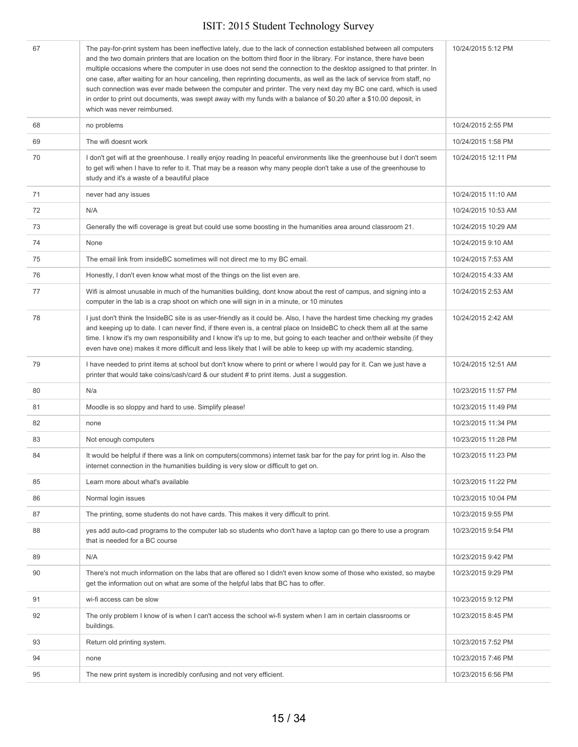| 67 | The pay-for-print system has been ineffective lately, due to the lack of connection established between all computers<br>and the two domain printers that are location on the bottom third floor in the library. For instance, there have been<br>multiple occasions where the computer in use does not send the connection to the desktop assigned to that printer. In<br>one case, after waiting for an hour canceling, then reprinting documents, as well as the lack of service from staff, no<br>such connection was ever made between the computer and printer. The very next day my BC one card, which is used<br>in order to print out documents, was swept away with my funds with a balance of \$0.20 after a \$10.00 deposit, in<br>which was never reimbursed. | 10/24/2015 5:12 PM  |
|----|----------------------------------------------------------------------------------------------------------------------------------------------------------------------------------------------------------------------------------------------------------------------------------------------------------------------------------------------------------------------------------------------------------------------------------------------------------------------------------------------------------------------------------------------------------------------------------------------------------------------------------------------------------------------------------------------------------------------------------------------------------------------------|---------------------|
| 68 | no problems                                                                                                                                                                                                                                                                                                                                                                                                                                                                                                                                                                                                                                                                                                                                                                | 10/24/2015 2:55 PM  |
| 69 | The wifi doesnt work                                                                                                                                                                                                                                                                                                                                                                                                                                                                                                                                                                                                                                                                                                                                                       | 10/24/2015 1:58 PM  |
| 70 | I don't get wifi at the greenhouse. I really enjoy reading In peaceful environments like the greenhouse but I don't seem<br>to get wifi when I have to refer to it. That may be a reason why many people don't take a use of the greenhouse to<br>study and it's a waste of a beautiful place                                                                                                                                                                                                                                                                                                                                                                                                                                                                              | 10/24/2015 12:11 PM |
| 71 | never had any issues                                                                                                                                                                                                                                                                                                                                                                                                                                                                                                                                                                                                                                                                                                                                                       | 10/24/2015 11:10 AM |
| 72 | N/A                                                                                                                                                                                                                                                                                                                                                                                                                                                                                                                                                                                                                                                                                                                                                                        | 10/24/2015 10:53 AM |
| 73 | Generally the wifi coverage is great but could use some boosting in the humanities area around classroom 21.                                                                                                                                                                                                                                                                                                                                                                                                                                                                                                                                                                                                                                                               | 10/24/2015 10:29 AM |
| 74 | None                                                                                                                                                                                                                                                                                                                                                                                                                                                                                                                                                                                                                                                                                                                                                                       | 10/24/2015 9:10 AM  |
| 75 | The email link from insideBC sometimes will not direct me to my BC email.                                                                                                                                                                                                                                                                                                                                                                                                                                                                                                                                                                                                                                                                                                  | 10/24/2015 7:53 AM  |
| 76 | Honestly, I don't even know what most of the things on the list even are.                                                                                                                                                                                                                                                                                                                                                                                                                                                                                                                                                                                                                                                                                                  | 10/24/2015 4:33 AM  |
| 77 | Wifi is almost unusable in much of the humanities building, dont know about the rest of campus, and signing into a<br>computer in the lab is a crap shoot on which one will sign in in a minute, or 10 minutes                                                                                                                                                                                                                                                                                                                                                                                                                                                                                                                                                             | 10/24/2015 2:53 AM  |
| 78 | I just don't think the InsideBC site is as user-friendly as it could be. Also, I have the hardest time checking my grades<br>and keeping up to date. I can never find, if there even is, a central place on InsideBC to check them all at the same<br>time. I know it's my own responsibility and I know it's up to me, but going to each teacher and or/their website (if they<br>even have one) makes it more difficult and less likely that I will be able to keep up with my academic standing.                                                                                                                                                                                                                                                                        | 10/24/2015 2:42 AM  |
| 79 | I have needed to print items at school but don't know where to print or where I would pay for it. Can we just have a<br>printer that would take coins/cash/card & our student # to print items. Just a suggestion.                                                                                                                                                                                                                                                                                                                                                                                                                                                                                                                                                         | 10/24/2015 12:51 AM |
| 80 | N/a                                                                                                                                                                                                                                                                                                                                                                                                                                                                                                                                                                                                                                                                                                                                                                        | 10/23/2015 11:57 PM |
| 81 | Moodle is so sloppy and hard to use. Simplify please!                                                                                                                                                                                                                                                                                                                                                                                                                                                                                                                                                                                                                                                                                                                      | 10/23/2015 11:49 PM |
| 82 | none                                                                                                                                                                                                                                                                                                                                                                                                                                                                                                                                                                                                                                                                                                                                                                       | 10/23/2015 11:34 PM |
| 83 | Not enough computers                                                                                                                                                                                                                                                                                                                                                                                                                                                                                                                                                                                                                                                                                                                                                       | 10/23/2015 11:28 PM |
| 84 | It would be helpful if there was a link on computers (commons) internet task bar for the pay for print log in. Also the<br>internet connection in the humanities building is very slow or difficult to get on.                                                                                                                                                                                                                                                                                                                                                                                                                                                                                                                                                             | 10/23/2015 11:23 PM |
| 85 | Learn more about what's available                                                                                                                                                                                                                                                                                                                                                                                                                                                                                                                                                                                                                                                                                                                                          | 10/23/2015 11:22 PM |
| 86 | Normal login issues                                                                                                                                                                                                                                                                                                                                                                                                                                                                                                                                                                                                                                                                                                                                                        | 10/23/2015 10:04 PM |
| 87 | The printing, some students do not have cards. This makes it very difficult to print.                                                                                                                                                                                                                                                                                                                                                                                                                                                                                                                                                                                                                                                                                      | 10/23/2015 9:55 PM  |
| 88 | yes add auto-cad programs to the computer lab so students who don't have a laptop can go there to use a program<br>that is needed for a BC course                                                                                                                                                                                                                                                                                                                                                                                                                                                                                                                                                                                                                          | 10/23/2015 9:54 PM  |
| 89 | N/A                                                                                                                                                                                                                                                                                                                                                                                                                                                                                                                                                                                                                                                                                                                                                                        | 10/23/2015 9:42 PM  |
| 90 | There's not much information on the labs that are offered so I didn't even know some of those who existed, so maybe<br>get the information out on what are some of the helpful labs that BC has to offer.                                                                                                                                                                                                                                                                                                                                                                                                                                                                                                                                                                  | 10/23/2015 9:29 PM  |
| 91 | wi-fi access can be slow                                                                                                                                                                                                                                                                                                                                                                                                                                                                                                                                                                                                                                                                                                                                                   | 10/23/2015 9:12 PM  |
| 92 | The only problem I know of is when I can't access the school wi-fi system when I am in certain classrooms or<br>buildings.                                                                                                                                                                                                                                                                                                                                                                                                                                                                                                                                                                                                                                                 | 10/23/2015 8:45 PM  |
| 93 | Return old printing system.                                                                                                                                                                                                                                                                                                                                                                                                                                                                                                                                                                                                                                                                                                                                                | 10/23/2015 7:52 PM  |
| 94 | none                                                                                                                                                                                                                                                                                                                                                                                                                                                                                                                                                                                                                                                                                                                                                                       | 10/23/2015 7:46 PM  |
| 95 | The new print system is incredibly confusing and not very efficient.                                                                                                                                                                                                                                                                                                                                                                                                                                                                                                                                                                                                                                                                                                       | 10/23/2015 6:56 PM  |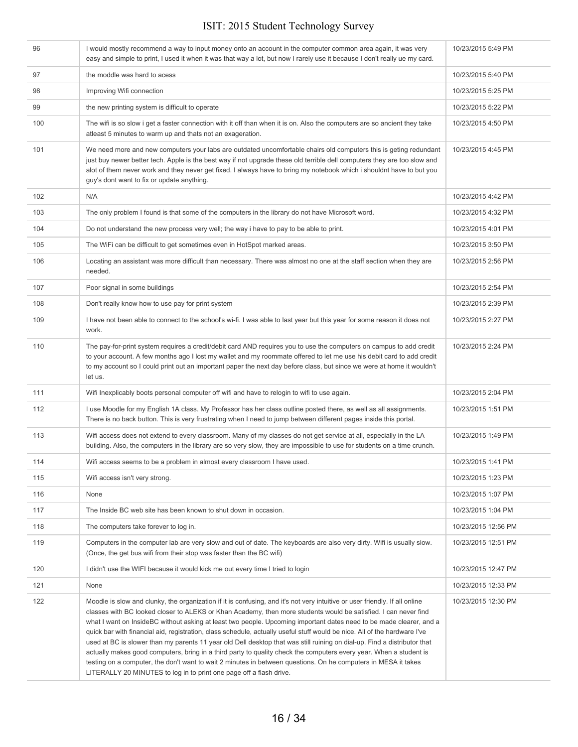| 96  | I would mostly recommend a way to input money onto an account in the computer common area again, it was very<br>easy and simple to print, I used it when it was that way a lot, but now I rarely use it because I don't really ue my card.                                                                                                                                                                                                                                                                                                                                                                                                                                                                                                                                                                                                                                                                                                    | 10/23/2015 5:49 PM  |
|-----|-----------------------------------------------------------------------------------------------------------------------------------------------------------------------------------------------------------------------------------------------------------------------------------------------------------------------------------------------------------------------------------------------------------------------------------------------------------------------------------------------------------------------------------------------------------------------------------------------------------------------------------------------------------------------------------------------------------------------------------------------------------------------------------------------------------------------------------------------------------------------------------------------------------------------------------------------|---------------------|
| 97  | the moddle was hard to acess                                                                                                                                                                                                                                                                                                                                                                                                                                                                                                                                                                                                                                                                                                                                                                                                                                                                                                                  | 10/23/2015 5:40 PM  |
| 98  | Improving Wifi connection                                                                                                                                                                                                                                                                                                                                                                                                                                                                                                                                                                                                                                                                                                                                                                                                                                                                                                                     | 10/23/2015 5:25 PM  |
| 99  | the new printing system is difficult to operate                                                                                                                                                                                                                                                                                                                                                                                                                                                                                                                                                                                                                                                                                                                                                                                                                                                                                               | 10/23/2015 5:22 PM  |
| 100 | The wifi is so slow i get a faster connection with it off than when it is on. Also the computers are so ancient they take<br>atleast 5 minutes to warm up and thats not an exageration.                                                                                                                                                                                                                                                                                                                                                                                                                                                                                                                                                                                                                                                                                                                                                       | 10/23/2015 4:50 PM  |
| 101 | We need more and new computers your labs are outdated uncomfortable chairs old computers this is geting redundant<br>just buy newer better tech. Apple is the best way if not upgrade these old terrible dell computers they are too slow and<br>alot of them never work and they never get fixed. I always have to bring my notebook which i shouldnt have to but you<br>guy's dont want to fix or update anything.                                                                                                                                                                                                                                                                                                                                                                                                                                                                                                                          | 10/23/2015 4:45 PM  |
| 102 | N/A                                                                                                                                                                                                                                                                                                                                                                                                                                                                                                                                                                                                                                                                                                                                                                                                                                                                                                                                           | 10/23/2015 4:42 PM  |
| 103 | The only problem I found is that some of the computers in the library do not have Microsoft word.                                                                                                                                                                                                                                                                                                                                                                                                                                                                                                                                                                                                                                                                                                                                                                                                                                             | 10/23/2015 4:32 PM  |
| 104 | Do not understand the new process very well; the way i have to pay to be able to print.                                                                                                                                                                                                                                                                                                                                                                                                                                                                                                                                                                                                                                                                                                                                                                                                                                                       | 10/23/2015 4:01 PM  |
| 105 | The WiFi can be difficult to get sometimes even in HotSpot marked areas.                                                                                                                                                                                                                                                                                                                                                                                                                                                                                                                                                                                                                                                                                                                                                                                                                                                                      | 10/23/2015 3:50 PM  |
| 106 | Locating an assistant was more difficult than necessary. There was almost no one at the staff section when they are<br>needed.                                                                                                                                                                                                                                                                                                                                                                                                                                                                                                                                                                                                                                                                                                                                                                                                                | 10/23/2015 2:56 PM  |
| 107 | Poor signal in some buildings                                                                                                                                                                                                                                                                                                                                                                                                                                                                                                                                                                                                                                                                                                                                                                                                                                                                                                                 | 10/23/2015 2:54 PM  |
| 108 | Don't really know how to use pay for print system                                                                                                                                                                                                                                                                                                                                                                                                                                                                                                                                                                                                                                                                                                                                                                                                                                                                                             | 10/23/2015 2:39 PM  |
| 109 | I have not been able to connect to the school's wi-fi. I was able to last year but this year for some reason it does not<br>work.                                                                                                                                                                                                                                                                                                                                                                                                                                                                                                                                                                                                                                                                                                                                                                                                             | 10/23/2015 2:27 PM  |
| 110 | The pay-for-print system requires a credit/debit card AND requires you to use the computers on campus to add credit<br>to your account. A few months ago I lost my wallet and my roommate offered to let me use his debit card to add credit<br>to my account so I could print out an important paper the next day before class, but since we were at home it wouldn't<br>let us.                                                                                                                                                                                                                                                                                                                                                                                                                                                                                                                                                             | 10/23/2015 2:24 PM  |
| 111 | Wifi Inexplicably boots personal computer off wifi and have to relogin to wifi to use again.                                                                                                                                                                                                                                                                                                                                                                                                                                                                                                                                                                                                                                                                                                                                                                                                                                                  | 10/23/2015 2:04 PM  |
| 112 | I use Moodle for my English 1A class. My Professor has her class outline posted there, as well as all assignments.<br>There is no back button. This is very frustrating when I need to jump between different pages inside this portal.                                                                                                                                                                                                                                                                                                                                                                                                                                                                                                                                                                                                                                                                                                       | 10/23/2015 1:51 PM  |
| 113 | Wifi access does not extend to every classroom. Many of my classes do not get service at all, especially in the LA<br>building. Also, the computers in the library are so very slow, they are impossible to use for students on a time crunch.                                                                                                                                                                                                                                                                                                                                                                                                                                                                                                                                                                                                                                                                                                | 10/23/2015 1:49 PM  |
| 114 | Wifi access seems to be a problem in almost every classroom I have used.                                                                                                                                                                                                                                                                                                                                                                                                                                                                                                                                                                                                                                                                                                                                                                                                                                                                      | 10/23/2015 1:41 PM  |
| 115 | Wifi access isn't very strong.                                                                                                                                                                                                                                                                                                                                                                                                                                                                                                                                                                                                                                                                                                                                                                                                                                                                                                                | 10/23/2015 1:23 PM  |
| 116 | None                                                                                                                                                                                                                                                                                                                                                                                                                                                                                                                                                                                                                                                                                                                                                                                                                                                                                                                                          | 10/23/2015 1:07 PM  |
| 117 | The Inside BC web site has been known to shut down in occasion.                                                                                                                                                                                                                                                                                                                                                                                                                                                                                                                                                                                                                                                                                                                                                                                                                                                                               | 10/23/2015 1:04 PM  |
| 118 | The computers take forever to log in.                                                                                                                                                                                                                                                                                                                                                                                                                                                                                                                                                                                                                                                                                                                                                                                                                                                                                                         | 10/23/2015 12:56 PM |
| 119 | Computers in the computer lab are very slow and out of date. The keyboards are also very dirty. Wifi is usually slow.<br>(Once, the get bus wifi from their stop was faster than the BC wifi)                                                                                                                                                                                                                                                                                                                                                                                                                                                                                                                                                                                                                                                                                                                                                 | 10/23/2015 12:51 PM |
| 120 | I didn't use the WIFI because it would kick me out every time I tried to login                                                                                                                                                                                                                                                                                                                                                                                                                                                                                                                                                                                                                                                                                                                                                                                                                                                                | 10/23/2015 12:47 PM |
| 121 | None                                                                                                                                                                                                                                                                                                                                                                                                                                                                                                                                                                                                                                                                                                                                                                                                                                                                                                                                          | 10/23/2015 12:33 PM |
| 122 | Moodle is slow and clunky, the organization if it is confusing, and it's not very intuitive or user friendly. If all online<br>classes with BC looked closer to ALEKS or Khan Academy, then more students would be satisfied. I can never find<br>what I want on InsideBC without asking at least two people. Upcoming important dates need to be made clearer, and a<br>quick bar with financial aid, registration, class schedule, actually useful stuff would be nice. All of the hardware I've<br>used at BC is slower than my parents 11 year old Dell desktop that was still ruining on dial-up. Find a distributor that<br>actually makes good computers, bring in a third party to quality check the computers every year. When a student is<br>testing on a computer, the don't want to wait 2 minutes in between questions. On he computers in MESA it takes<br>LITERALLY 20 MINUTES to log in to print one page off a flash drive. | 10/23/2015 12:30 PM |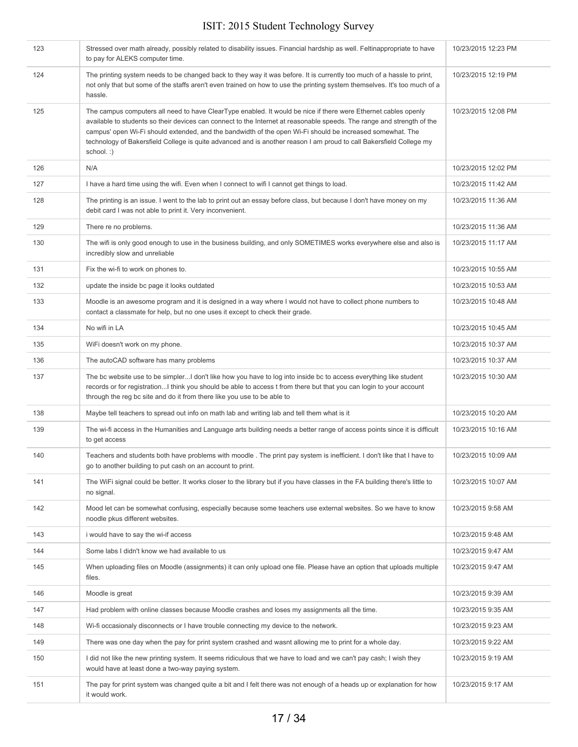| 123 | Stressed over math already, possibly related to disability issues. Financial hardship as well. Feltinappropriate to have<br>to pay for ALEKS computer time.                                                                                                                                                                                                                                                                                                                               | 10/23/2015 12:23 PM |
|-----|-------------------------------------------------------------------------------------------------------------------------------------------------------------------------------------------------------------------------------------------------------------------------------------------------------------------------------------------------------------------------------------------------------------------------------------------------------------------------------------------|---------------------|
| 124 | The printing system needs to be changed back to they way it was before. It is currently too much of a hassle to print,<br>not only that but some of the staffs aren't even trained on how to use the printing system themselves. It's too much of a<br>hassle.                                                                                                                                                                                                                            | 10/23/2015 12:19 PM |
| 125 | The campus computers all need to have ClearType enabled. It would be nice if there were Ethernet cables openly<br>available to students so their devices can connect to the Internet at reasonable speeds. The range and strength of the<br>campus' open Wi-Fi should extended, and the bandwidth of the open Wi-Fi should be increased somewhat. The<br>technology of Bakersfield College is quite advanced and is another reason I am proud to call Bakersfield College my<br>school.:) | 10/23/2015 12:08 PM |
| 126 | N/A                                                                                                                                                                                                                                                                                                                                                                                                                                                                                       | 10/23/2015 12:02 PM |
| 127 | I have a hard time using the wifi. Even when I connect to wifi I cannot get things to load.                                                                                                                                                                                                                                                                                                                                                                                               | 10/23/2015 11:42 AM |
| 128 | The printing is an issue. I went to the lab to print out an essay before class, but because I don't have money on my<br>debit card I was not able to print it. Very inconvenient.                                                                                                                                                                                                                                                                                                         | 10/23/2015 11:36 AM |
| 129 | There re no problems.                                                                                                                                                                                                                                                                                                                                                                                                                                                                     | 10/23/2015 11:36 AM |
| 130 | The wifi is only good enough to use in the business building, and only SOMETIMES works everywhere else and also is<br>incredibly slow and unreliable                                                                                                                                                                                                                                                                                                                                      | 10/23/2015 11:17 AM |
| 131 | Fix the wi-fi to work on phones to.                                                                                                                                                                                                                                                                                                                                                                                                                                                       | 10/23/2015 10:55 AM |
| 132 | update the inside bc page it looks outdated                                                                                                                                                                                                                                                                                                                                                                                                                                               | 10/23/2015 10:53 AM |
| 133 | Moodle is an awesome program and it is designed in a way where I would not have to collect phone numbers to<br>contact a classmate for help, but no one uses it except to check their grade.                                                                                                                                                                                                                                                                                              | 10/23/2015 10:48 AM |
| 134 | No wifi in LA                                                                                                                                                                                                                                                                                                                                                                                                                                                                             | 10/23/2015 10:45 AM |
| 135 | WiFi doesn't work on my phone.                                                                                                                                                                                                                                                                                                                                                                                                                                                            | 10/23/2015 10:37 AM |
| 136 | The autoCAD software has many problems                                                                                                                                                                                                                                                                                                                                                                                                                                                    | 10/23/2015 10:37 AM |
| 137 | The bc website use to be simplerI don't like how you have to log into inside bc to access everything like student<br>records or for registrationI think you should be able to access t from there but that you can login to your account<br>through the reg bc site and do it from there like you use to be able to                                                                                                                                                                       | 10/23/2015 10:30 AM |
| 138 | Maybe tell teachers to spread out info on math lab and writing lab and tell them what is it                                                                                                                                                                                                                                                                                                                                                                                               | 10/23/2015 10:20 AM |
| 139 | The wi-fi access in the Humanities and Language arts building needs a better range of access points since it is difficult<br>to get access                                                                                                                                                                                                                                                                                                                                                | 10/23/2015 10:16 AM |
| 140 | Teachers and students both have problems with moodle. The print pay system is inefficient. I don't like that I have to<br>go to another building to put cash on an account to print.                                                                                                                                                                                                                                                                                                      | 10/23/2015 10:09 AM |
| 141 | The WiFi signal could be better. It works closer to the library but if you have classes in the FA building there's little to<br>no signal.                                                                                                                                                                                                                                                                                                                                                | 10/23/2015 10:07 AM |
| 142 | Mood let can be somewhat confusing, especially because some teachers use external websites. So we have to know<br>noodle pkus different websites.                                                                                                                                                                                                                                                                                                                                         | 10/23/2015 9:58 AM  |
| 143 | i would have to say the wi-if access                                                                                                                                                                                                                                                                                                                                                                                                                                                      | 10/23/2015 9:48 AM  |
| 144 | Some labs I didn't know we had available to us                                                                                                                                                                                                                                                                                                                                                                                                                                            | 10/23/2015 9:47 AM  |
| 145 | When uploading files on Moodle (assignments) it can only upload one file. Please have an option that uploads multiple<br>files.                                                                                                                                                                                                                                                                                                                                                           | 10/23/2015 9:47 AM  |
| 146 | Moodle is great                                                                                                                                                                                                                                                                                                                                                                                                                                                                           | 10/23/2015 9:39 AM  |
| 147 | Had problem with online classes because Moodle crashes and loses my assignments all the time.                                                                                                                                                                                                                                                                                                                                                                                             | 10/23/2015 9:35 AM  |
| 148 | Wi-fi occasionaly disconnects or I have trouble connecting my device to the network.                                                                                                                                                                                                                                                                                                                                                                                                      | 10/23/2015 9:23 AM  |
| 149 | There was one day when the pay for print system crashed and wasnt allowing me to print for a whole day.                                                                                                                                                                                                                                                                                                                                                                                   | 10/23/2015 9:22 AM  |
| 150 | I did not like the new printing system. It seems ridiculous that we have to load and we can't pay cash; I wish they<br>would have at least done a two-way paying system.                                                                                                                                                                                                                                                                                                                  | 10/23/2015 9:19 AM  |
| 151 | The pay for print system was changed quite a bit and I felt there was not enough of a heads up or explanation for how<br>it would work.                                                                                                                                                                                                                                                                                                                                                   | 10/23/2015 9:17 AM  |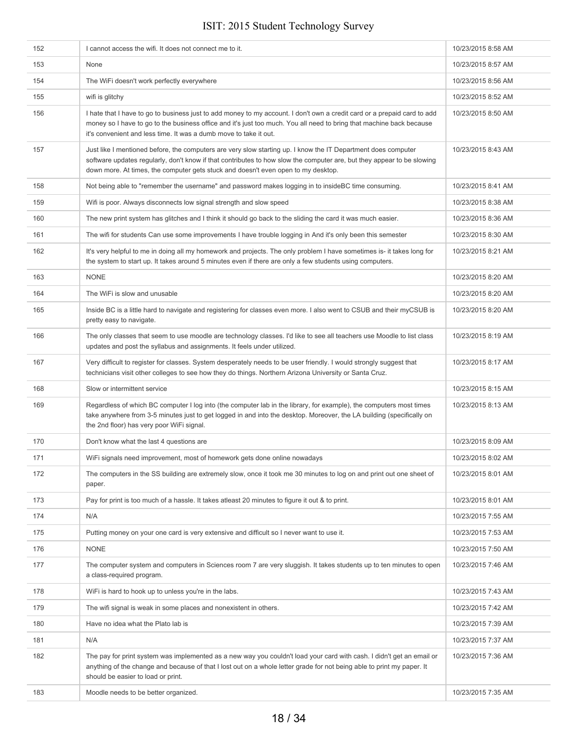| 152 | I cannot access the wifi. It does not connect me to it.                                                                                                                                                                                                                                                                      | 10/23/2015 8:58 AM |
|-----|------------------------------------------------------------------------------------------------------------------------------------------------------------------------------------------------------------------------------------------------------------------------------------------------------------------------------|--------------------|
| 153 | None                                                                                                                                                                                                                                                                                                                         | 10/23/2015 8:57 AM |
| 154 | The WiFi doesn't work perfectly everywhere                                                                                                                                                                                                                                                                                   | 10/23/2015 8:56 AM |
| 155 | wifi is glitchy                                                                                                                                                                                                                                                                                                              | 10/23/2015 8:52 AM |
| 156 | I hate that I have to go to business just to add money to my account. I don't own a credit card or a prepaid card to add<br>money so I have to go to the business office and it's just too much. You all need to bring that machine back because<br>it's convenient and less time. It was a dumb move to take it out.        | 10/23/2015 8:50 AM |
| 157 | Just like I mentioned before, the computers are very slow starting up. I know the IT Department does computer<br>software updates regularly, don't know if that contributes to how slow the computer are, but they appear to be slowing<br>down more. At times, the computer gets stuck and doesn't even open to my desktop. | 10/23/2015 8:43 AM |
| 158 | Not being able to "remember the username" and password makes logging in to inside BC time consuming.                                                                                                                                                                                                                         | 10/23/2015 8:41 AM |
| 159 | Wifi is poor. Always disconnects low signal strength and slow speed                                                                                                                                                                                                                                                          | 10/23/2015 8:38 AM |
| 160 | The new print system has glitches and I think it should go back to the sliding the card it was much easier.                                                                                                                                                                                                                  | 10/23/2015 8:36 AM |
| 161 | The wifi for students Can use some improvements I have trouble logging in And it's only been this semester                                                                                                                                                                                                                   | 10/23/2015 8:30 AM |
| 162 | It's very helpful to me in doing all my homework and projects. The only problem I have sometimes is- it takes long for<br>the system to start up. It takes around 5 minutes even if there are only a few students using computers.                                                                                           | 10/23/2015 8:21 AM |
| 163 | <b>NONE</b>                                                                                                                                                                                                                                                                                                                  | 10/23/2015 8:20 AM |
| 164 | The WiFi is slow and unusable                                                                                                                                                                                                                                                                                                | 10/23/2015 8:20 AM |
| 165 | Inside BC is a little hard to navigate and registering for classes even more. I also went to CSUB and their myCSUB is<br>pretty easy to navigate.                                                                                                                                                                            | 10/23/2015 8:20 AM |
| 166 | The only classes that seem to use moodle are technology classes. I'd like to see all teachers use Moodle to list class<br>updates and post the syllabus and assignments. It feels under utilized.                                                                                                                            | 10/23/2015 8:19 AM |
| 167 | Very difficult to register for classes. System desperately needs to be user friendly. I would strongly suggest that<br>technicians visit other colleges to see how they do things. Northern Arizona University or Santa Cruz.                                                                                                | 10/23/2015 8:17 AM |
| 168 | Slow or intermittent service                                                                                                                                                                                                                                                                                                 | 10/23/2015 8:15 AM |
| 169 | Regardless of which BC computer I log into (the computer lab in the library, for example), the computers most times<br>take anywhere from 3-5 minutes just to get logged in and into the desktop. Moreover, the LA building (specifically on<br>the 2nd floor) has very poor WiFi signal.                                    | 10/23/2015 8:13 AM |
| 170 | Don't know what the last 4 questions are                                                                                                                                                                                                                                                                                     | 10/23/2015 8:09 AM |
| 171 | WiFi signals need improvement, most of homework gets done online nowadays                                                                                                                                                                                                                                                    | 10/23/2015 8:02 AM |
| 172 | The computers in the SS building are extremely slow, once it took me 30 minutes to log on and print out one sheet of<br>paper.                                                                                                                                                                                               | 10/23/2015 8:01 AM |
| 173 | Pay for print is too much of a hassle. It takes at east 20 minutes to figure it out & to print.                                                                                                                                                                                                                              | 10/23/2015 8:01 AM |
| 174 | N/A                                                                                                                                                                                                                                                                                                                          | 10/23/2015 7:55 AM |
| 175 | Putting money on your one card is very extensive and difficult so I never want to use it.                                                                                                                                                                                                                                    | 10/23/2015 7:53 AM |
| 176 | <b>NONE</b>                                                                                                                                                                                                                                                                                                                  | 10/23/2015 7:50 AM |
| 177 | The computer system and computers in Sciences room 7 are very sluggish. It takes students up to ten minutes to open<br>a class-required program.                                                                                                                                                                             | 10/23/2015 7:46 AM |
| 178 | WiFi is hard to hook up to unless you're in the labs.                                                                                                                                                                                                                                                                        | 10/23/2015 7:43 AM |
| 179 | The wifi signal is weak in some places and nonexistent in others.                                                                                                                                                                                                                                                            | 10/23/2015 7:42 AM |
| 180 | Have no idea what the Plato lab is                                                                                                                                                                                                                                                                                           | 10/23/2015 7:39 AM |
| 181 | N/A                                                                                                                                                                                                                                                                                                                          | 10/23/2015 7:37 AM |
| 182 | The pay for print system was implemented as a new way you couldn't load your card with cash. I didn't get an email or<br>anything of the change and because of that I lost out on a whole letter grade for not being able to print my paper. It<br>should be easier to load or print.                                        | 10/23/2015 7:36 AM |
| 183 | Moodle needs to be better organized.                                                                                                                                                                                                                                                                                         | 10/23/2015 7:35 AM |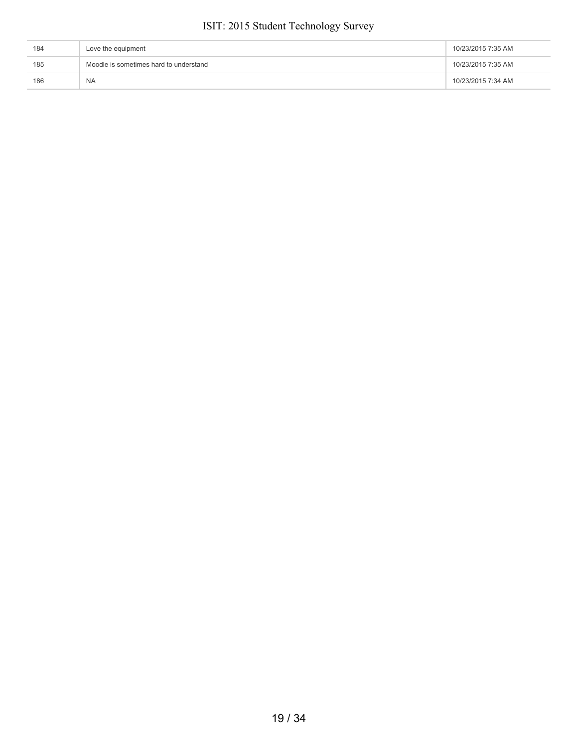| 184 | Love the equipment                     | 10/23/2015 7:35 AM |
|-----|----------------------------------------|--------------------|
| 185 | Moodle is sometimes hard to understand | 10/23/2015 7:35 AM |
| 186 | <b>NA</b>                              | 10/23/2015 7:34 AM |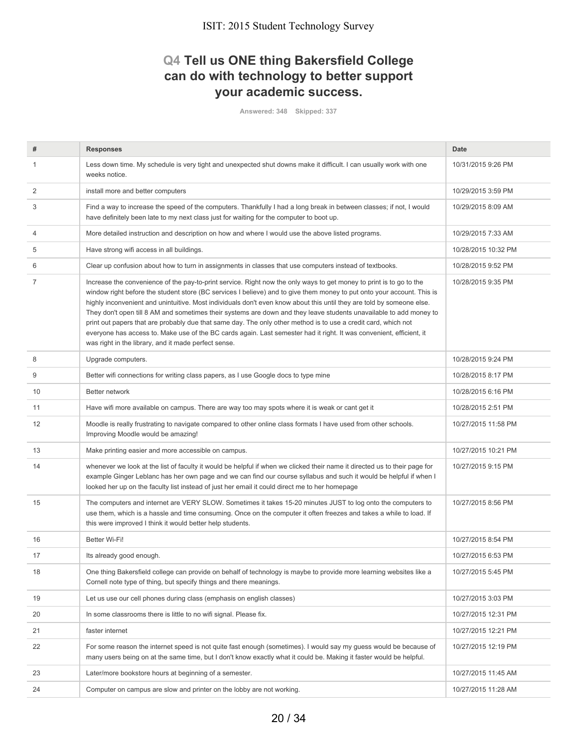## **Q4 Tell us ONE thing Bakersfield College can do with technology to better support your academic success.**

**Answered: 348 Skipped: 337**

| #              | <b>Responses</b>                                                                                                                                                                                                                                                                                                                                                                                                                                                                                                                                                                                                                                                                                                                                                                               | Date                |
|----------------|------------------------------------------------------------------------------------------------------------------------------------------------------------------------------------------------------------------------------------------------------------------------------------------------------------------------------------------------------------------------------------------------------------------------------------------------------------------------------------------------------------------------------------------------------------------------------------------------------------------------------------------------------------------------------------------------------------------------------------------------------------------------------------------------|---------------------|
| 1              | Less down time. My schedule is very tight and unexpected shut downs make it difficult. I can usually work with one<br>weeks notice.                                                                                                                                                                                                                                                                                                                                                                                                                                                                                                                                                                                                                                                            | 10/31/2015 9:26 PM  |
| 2              | install more and better computers                                                                                                                                                                                                                                                                                                                                                                                                                                                                                                                                                                                                                                                                                                                                                              | 10/29/2015 3:59 PM  |
| 3              | Find a way to increase the speed of the computers. Thankfully I had a long break in between classes; if not, I would<br>have definitely been late to my next class just for waiting for the computer to boot up.                                                                                                                                                                                                                                                                                                                                                                                                                                                                                                                                                                               | 10/29/2015 8:09 AM  |
| 4              | More detailed instruction and description on how and where I would use the above listed programs.                                                                                                                                                                                                                                                                                                                                                                                                                                                                                                                                                                                                                                                                                              | 10/29/2015 7:33 AM  |
| 5              | Have strong wifi access in all buildings.                                                                                                                                                                                                                                                                                                                                                                                                                                                                                                                                                                                                                                                                                                                                                      | 10/28/2015 10:32 PM |
| 6              | Clear up confusion about how to turn in assignments in classes that use computers instead of textbooks.                                                                                                                                                                                                                                                                                                                                                                                                                                                                                                                                                                                                                                                                                        | 10/28/2015 9:52 PM  |
| $\overline{7}$ | Increase the convenience of the pay-to-print service. Right now the only ways to get money to print is to go to the<br>window right before the student store (BC services I believe) and to give them money to put onto your account. This is<br>highly inconvenient and unintuitive. Most individuals don't even know about this until they are told by someone else.<br>They don't open till 8 AM and sometimes their systems are down and they leave students unavailable to add money to<br>print out papers that are probably due that same day. The only other method is to use a credit card, which not<br>everyone has access to. Make use of the BC cards again. Last semester had it right. It was convenient, efficient, it<br>was right in the library, and it made perfect sense. | 10/28/2015 9:35 PM  |
| 8              | Upgrade computers.                                                                                                                                                                                                                                                                                                                                                                                                                                                                                                                                                                                                                                                                                                                                                                             | 10/28/2015 9:24 PM  |
| 9              | Better wifi connections for writing class papers, as I use Google docs to type mine                                                                                                                                                                                                                                                                                                                                                                                                                                                                                                                                                                                                                                                                                                            | 10/28/2015 8:17 PM  |
| 10             | Better network                                                                                                                                                                                                                                                                                                                                                                                                                                                                                                                                                                                                                                                                                                                                                                                 | 10/28/2015 6:16 PM  |
| 11             | Have wifi more available on campus. There are way too may spots where it is weak or cant get it                                                                                                                                                                                                                                                                                                                                                                                                                                                                                                                                                                                                                                                                                                | 10/28/2015 2:51 PM  |
| 12             | Moodle is really frustrating to navigate compared to other online class formats I have used from other schools.<br>Improving Moodle would be amazing!                                                                                                                                                                                                                                                                                                                                                                                                                                                                                                                                                                                                                                          | 10/27/2015 11:58 PM |
| 13             | Make printing easier and more accessible on campus.                                                                                                                                                                                                                                                                                                                                                                                                                                                                                                                                                                                                                                                                                                                                            | 10/27/2015 10:21 PM |
| 14             | whenever we look at the list of faculty it would be helpful if when we clicked their name it directed us to their page for<br>example Ginger Leblanc has her own page and we can find our course syllabus and such it would be helpful if when I<br>looked her up on the faculty list instead of just her email it could direct me to her homepage                                                                                                                                                                                                                                                                                                                                                                                                                                             | 10/27/2015 9:15 PM  |
| 15             | The computers and internet are VERY SLOW. Sometimes it takes 15-20 minutes JUST to log onto the computers to<br>use them, which is a hassle and time consuming. Once on the computer it often freezes and takes a while to load. If<br>this were improved I think it would better help students.                                                                                                                                                                                                                                                                                                                                                                                                                                                                                               | 10/27/2015 8:56 PM  |
| 16             | Better Wi-Fi!                                                                                                                                                                                                                                                                                                                                                                                                                                                                                                                                                                                                                                                                                                                                                                                  | 10/27/2015 8:54 PM  |
| 17             | Its already good enough.                                                                                                                                                                                                                                                                                                                                                                                                                                                                                                                                                                                                                                                                                                                                                                       | 10/27/2015 6:53 PM  |
| 18             | One thing Bakersfield college can provide on behalf of technology is maybe to provide more learning websites like a<br>Cornell note type of thing, but specify things and there meanings.                                                                                                                                                                                                                                                                                                                                                                                                                                                                                                                                                                                                      | 10/27/2015 5:45 PM  |
| 19             | Let us use our cell phones during class (emphasis on english classes)                                                                                                                                                                                                                                                                                                                                                                                                                                                                                                                                                                                                                                                                                                                          | 10/27/2015 3:03 PM  |
| 20             | In some classrooms there is little to no wifi signal. Please fix.                                                                                                                                                                                                                                                                                                                                                                                                                                                                                                                                                                                                                                                                                                                              | 10/27/2015 12:31 PM |
| 21             | faster internet                                                                                                                                                                                                                                                                                                                                                                                                                                                                                                                                                                                                                                                                                                                                                                                | 10/27/2015 12:21 PM |
| 22             | For some reason the internet speed is not quite fast enough (sometimes). I would say my guess would be because of<br>many users being on at the same time, but I don't know exactly what it could be. Making it faster would be helpful.                                                                                                                                                                                                                                                                                                                                                                                                                                                                                                                                                       | 10/27/2015 12:19 PM |
| 23             | Later/more bookstore hours at beginning of a semester.                                                                                                                                                                                                                                                                                                                                                                                                                                                                                                                                                                                                                                                                                                                                         | 10/27/2015 11:45 AM |
| 24             | Computer on campus are slow and printer on the lobby are not working.                                                                                                                                                                                                                                                                                                                                                                                                                                                                                                                                                                                                                                                                                                                          | 10/27/2015 11:28 AM |
|                |                                                                                                                                                                                                                                                                                                                                                                                                                                                                                                                                                                                                                                                                                                                                                                                                |                     |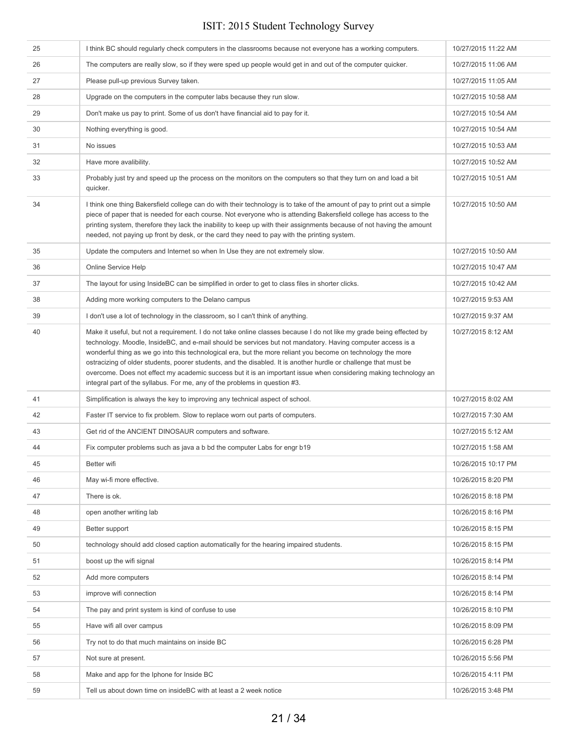| 25 | I think BC should regularly check computers in the classrooms because not everyone has a working computers.                                                                                                                                                                                                                                                                                                                                                                                                                                                                                                                                                              | 10/27/2015 11:22 AM |
|----|--------------------------------------------------------------------------------------------------------------------------------------------------------------------------------------------------------------------------------------------------------------------------------------------------------------------------------------------------------------------------------------------------------------------------------------------------------------------------------------------------------------------------------------------------------------------------------------------------------------------------------------------------------------------------|---------------------|
| 26 | The computers are really slow, so if they were sped up people would get in and out of the computer quicker.                                                                                                                                                                                                                                                                                                                                                                                                                                                                                                                                                              | 10/27/2015 11:06 AM |
| 27 | Please pull-up previous Survey taken.                                                                                                                                                                                                                                                                                                                                                                                                                                                                                                                                                                                                                                    | 10/27/2015 11:05 AM |
| 28 | Upgrade on the computers in the computer labs because they run slow.                                                                                                                                                                                                                                                                                                                                                                                                                                                                                                                                                                                                     | 10/27/2015 10:58 AM |
| 29 | Don't make us pay to print. Some of us don't have financial aid to pay for it.                                                                                                                                                                                                                                                                                                                                                                                                                                                                                                                                                                                           | 10/27/2015 10:54 AM |
| 30 | Nothing everything is good.                                                                                                                                                                                                                                                                                                                                                                                                                                                                                                                                                                                                                                              | 10/27/2015 10:54 AM |
| 31 | No issues                                                                                                                                                                                                                                                                                                                                                                                                                                                                                                                                                                                                                                                                | 10/27/2015 10:53 AM |
| 32 | Have more avalibility.                                                                                                                                                                                                                                                                                                                                                                                                                                                                                                                                                                                                                                                   | 10/27/2015 10:52 AM |
| 33 | Probably just try and speed up the process on the monitors on the computers so that they turn on and load a bit<br>quicker.                                                                                                                                                                                                                                                                                                                                                                                                                                                                                                                                              | 10/27/2015 10:51 AM |
| 34 | I think one thing Bakersfield college can do with their technology is to take of the amount of pay to print out a simple<br>piece of paper that is needed for each course. Not everyone who is attending Bakersfield college has access to the<br>printing system, therefore they lack the inability to keep up with their assignments because of not having the amount<br>needed, not paying up front by desk, or the card they need to pay with the printing system.                                                                                                                                                                                                   | 10/27/2015 10:50 AM |
| 35 | Update the computers and Internet so when In Use they are not extremely slow.                                                                                                                                                                                                                                                                                                                                                                                                                                                                                                                                                                                            | 10/27/2015 10:50 AM |
| 36 | Online Service Help                                                                                                                                                                                                                                                                                                                                                                                                                                                                                                                                                                                                                                                      | 10/27/2015 10:47 AM |
| 37 | The layout for using InsideBC can be simplified in order to get to class files in shorter clicks.                                                                                                                                                                                                                                                                                                                                                                                                                                                                                                                                                                        | 10/27/2015 10:42 AM |
| 38 | Adding more working computers to the Delano campus                                                                                                                                                                                                                                                                                                                                                                                                                                                                                                                                                                                                                       | 10/27/2015 9:53 AM  |
| 39 | I don't use a lot of technology in the classroom, so I can't think of anything.                                                                                                                                                                                                                                                                                                                                                                                                                                                                                                                                                                                          | 10/27/2015 9:37 AM  |
| 40 | Make it useful, but not a requirement. I do not take online classes because I do not like my grade being effected by<br>technology. Moodle, InsideBC, and e-mail should be services but not mandatory. Having computer access is a<br>wonderful thing as we go into this technological era, but the more reliant you become on technology the more<br>ostracizing of older students, poorer students, and the disabled. It is another hurdle or challenge that must be<br>overcome. Does not effect my academic success but it is an important issue when considering making technology an<br>integral part of the syllabus. For me, any of the problems in question #3. | 10/27/2015 8:12 AM  |
| 41 | Simplification is always the key to improving any technical aspect of school.                                                                                                                                                                                                                                                                                                                                                                                                                                                                                                                                                                                            | 10/27/2015 8:02 AM  |
| 42 | Faster IT service to fix problem. Slow to replace worn out parts of computers.                                                                                                                                                                                                                                                                                                                                                                                                                                                                                                                                                                                           | 10/27/2015 7:30 AM  |
| 43 | Get rid of the ANCIENT DINOSAUR computers and software.                                                                                                                                                                                                                                                                                                                                                                                                                                                                                                                                                                                                                  | 10/27/2015 5:12 AM  |
| 44 | Fix computer problems such as java a b bd the computer Labs for engr b19                                                                                                                                                                                                                                                                                                                                                                                                                                                                                                                                                                                                 | 10/27/2015 1:58 AM  |
| 45 | Better wifi                                                                                                                                                                                                                                                                                                                                                                                                                                                                                                                                                                                                                                                              | 10/26/2015 10:17 PM |
| 46 | May wi-fi more effective.                                                                                                                                                                                                                                                                                                                                                                                                                                                                                                                                                                                                                                                | 10/26/2015 8:20 PM  |
| 47 | There is ok.                                                                                                                                                                                                                                                                                                                                                                                                                                                                                                                                                                                                                                                             | 10/26/2015 8:18 PM  |
| 48 | open another writing lab                                                                                                                                                                                                                                                                                                                                                                                                                                                                                                                                                                                                                                                 | 10/26/2015 8:16 PM  |
| 49 | Better support                                                                                                                                                                                                                                                                                                                                                                                                                                                                                                                                                                                                                                                           | 10/26/2015 8:15 PM  |
| 50 | technology should add closed caption automatically for the hearing impaired students.                                                                                                                                                                                                                                                                                                                                                                                                                                                                                                                                                                                    | 10/26/2015 8:15 PM  |
| 51 | boost up the wifi signal                                                                                                                                                                                                                                                                                                                                                                                                                                                                                                                                                                                                                                                 | 10/26/2015 8:14 PM  |
| 52 | Add more computers                                                                                                                                                                                                                                                                                                                                                                                                                                                                                                                                                                                                                                                       | 10/26/2015 8:14 PM  |
| 53 | improve wifi connection                                                                                                                                                                                                                                                                                                                                                                                                                                                                                                                                                                                                                                                  | 10/26/2015 8:14 PM  |
| 54 | The pay and print system is kind of confuse to use                                                                                                                                                                                                                                                                                                                                                                                                                                                                                                                                                                                                                       | 10/26/2015 8:10 PM  |
| 55 | Have wifi all over campus                                                                                                                                                                                                                                                                                                                                                                                                                                                                                                                                                                                                                                                | 10/26/2015 8:09 PM  |
| 56 | Try not to do that much maintains on inside BC                                                                                                                                                                                                                                                                                                                                                                                                                                                                                                                                                                                                                           | 10/26/2015 6:28 PM  |
| 57 | Not sure at present.                                                                                                                                                                                                                                                                                                                                                                                                                                                                                                                                                                                                                                                     | 10/26/2015 5:56 PM  |
| 58 | Make and app for the Iphone for Inside BC                                                                                                                                                                                                                                                                                                                                                                                                                                                                                                                                                                                                                                | 10/26/2015 4:11 PM  |
| 59 | Tell us about down time on insideBC with at least a 2 week notice                                                                                                                                                                                                                                                                                                                                                                                                                                                                                                                                                                                                        | 10/26/2015 3:48 PM  |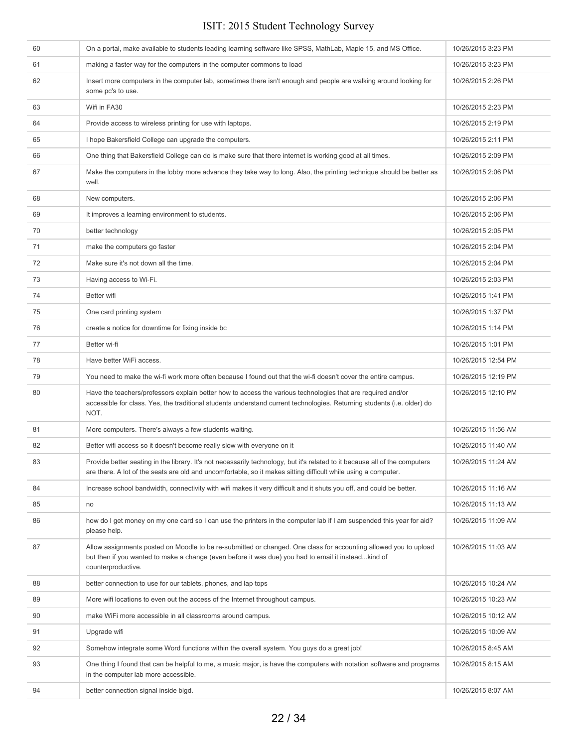| 60 | On a portal, make available to students leading learning software like SPSS, MathLab, Maple 15, and MS Office.                                                                                                                                 | 10/26/2015 3:23 PM  |
|----|------------------------------------------------------------------------------------------------------------------------------------------------------------------------------------------------------------------------------------------------|---------------------|
| 61 | making a faster way for the computers in the computer commons to load                                                                                                                                                                          | 10/26/2015 3:23 PM  |
| 62 | Insert more computers in the computer lab, sometimes there isn't enough and people are walking around looking for<br>some pc's to use.                                                                                                         | 10/26/2015 2:26 PM  |
| 63 | Wifi in FA30                                                                                                                                                                                                                                   | 10/26/2015 2:23 PM  |
| 64 | Provide access to wireless printing for use with laptops.                                                                                                                                                                                      | 10/26/2015 2:19 PM  |
| 65 | I hope Bakersfield College can upgrade the computers.                                                                                                                                                                                          | 10/26/2015 2:11 PM  |
| 66 | One thing that Bakersfield College can do is make sure that there internet is working good at all times.                                                                                                                                       | 10/26/2015 2:09 PM  |
| 67 | Make the computers in the lobby more advance they take way to long. Also, the printing technique should be better as<br>well.                                                                                                                  | 10/26/2015 2:06 PM  |
| 68 | New computers.                                                                                                                                                                                                                                 | 10/26/2015 2:06 PM  |
| 69 | It improves a learning environment to students.                                                                                                                                                                                                | 10/26/2015 2:06 PM  |
| 70 | better technology                                                                                                                                                                                                                              | 10/26/2015 2:05 PM  |
| 71 | make the computers go faster                                                                                                                                                                                                                   | 10/26/2015 2:04 PM  |
| 72 | Make sure it's not down all the time.                                                                                                                                                                                                          | 10/26/2015 2:04 PM  |
| 73 | Having access to Wi-Fi.                                                                                                                                                                                                                        | 10/26/2015 2:03 PM  |
| 74 | Better wifi                                                                                                                                                                                                                                    | 10/26/2015 1:41 PM  |
| 75 | One card printing system                                                                                                                                                                                                                       | 10/26/2015 1:37 PM  |
| 76 | create a notice for downtime for fixing inside bc                                                                                                                                                                                              | 10/26/2015 1:14 PM  |
| 77 | Better wi-fi                                                                                                                                                                                                                                   | 10/26/2015 1:01 PM  |
| 78 | Have better WiFi access.                                                                                                                                                                                                                       | 10/26/2015 12:54 PM |
| 79 | You need to make the wi-fi work more often because I found out that the wi-fi doesn't cover the entire campus.                                                                                                                                 | 10/26/2015 12:19 PM |
| 80 | Have the teachers/professors explain better how to access the various technologies that are required and/or<br>accessible for class. Yes, the traditional students understand current technologies. Returning students (i.e. older) do<br>NOT. | 10/26/2015 12:10 PM |
| 81 | More computers. There's always a few students waiting.                                                                                                                                                                                         | 10/26/2015 11:56 AM |
| 82 | Better wifi access so it doesn't become really slow with everyone on it                                                                                                                                                                        | 10/26/2015 11:40 AM |
| 83 | Provide better seating in the library. It's not necessarily technology, but it's related to it because all of the computers<br>are there. A lot of the seats are old and uncomfortable, so it makes sitting difficult while using a computer.  | 10/26/2015 11:24 AM |
| 84 | Increase school bandwidth, connectivity with wifi makes it very difficult and it shuts you off, and could be better.                                                                                                                           | 10/26/2015 11:16 AM |
| 85 | no                                                                                                                                                                                                                                             | 10/26/2015 11:13 AM |
| 86 | how do I get money on my one card so I can use the printers in the computer lab if I am suspended this year for aid?<br>please help.                                                                                                           | 10/26/2015 11:09 AM |
| 87 | Allow assignments posted on Moodle to be re-submitted or changed. One class for accounting allowed you to upload<br>but then if you wanted to make a change (even before it was due) you had to email it insteadkind of<br>counterproductive.  | 10/26/2015 11:03 AM |
| 88 | better connection to use for our tablets, phones, and lap tops                                                                                                                                                                                 | 10/26/2015 10:24 AM |
| 89 | More wifi locations to even out the access of the Internet throughout campus.                                                                                                                                                                  | 10/26/2015 10:23 AM |
| 90 | make WiFi more accessible in all classrooms around campus.                                                                                                                                                                                     | 10/26/2015 10:12 AM |
| 91 | Upgrade wifi                                                                                                                                                                                                                                   | 10/26/2015 10:09 AM |
| 92 | Somehow integrate some Word functions within the overall system. You guys do a great job!                                                                                                                                                      | 10/26/2015 8:45 AM  |
| 93 | One thing I found that can be helpful to me, a music major, is have the computers with notation software and programs<br>in the computer lab more accessible.                                                                                  | 10/26/2015 8:15 AM  |
| 94 | better connection signal inside blgd.                                                                                                                                                                                                          | 10/26/2015 8:07 AM  |
|    |                                                                                                                                                                                                                                                |                     |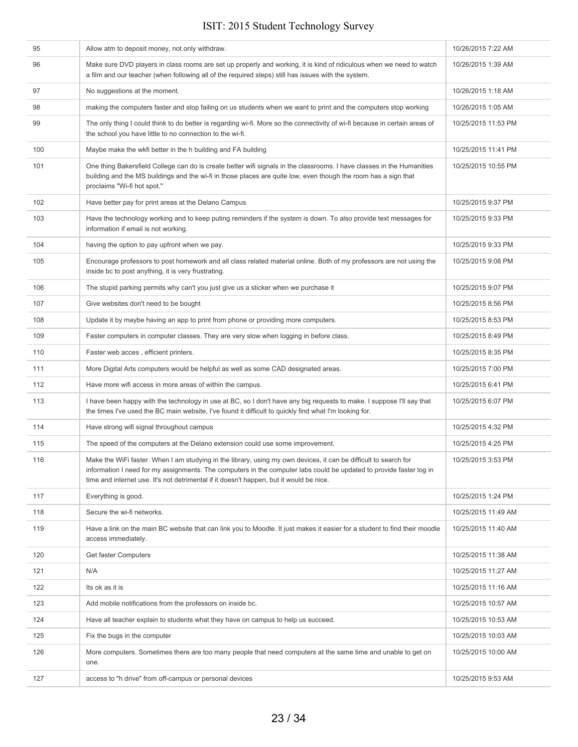| 95  | Allow atm to deposit money, not only withdraw.                                                                                                                                                                                                                                                                                     | 10/26/2015 7:22 AM  |
|-----|------------------------------------------------------------------------------------------------------------------------------------------------------------------------------------------------------------------------------------------------------------------------------------------------------------------------------------|---------------------|
| 96  | Make sure DVD players in class rooms are set up properly and working, it is kind of ridiculous when we need to watch<br>a film and our teacher (when following all of the required steps) still has issues with the system.                                                                                                        | 10/26/2015 1:39 AM  |
| 97  | No suggestions at the moment.                                                                                                                                                                                                                                                                                                      | 10/26/2015 1:18 AM  |
| 98  | making the computers faster and stop failing on us students when we want to print and the computers stop working                                                                                                                                                                                                                   | 10/26/2015 1:05 AM  |
| 99  | The only thing I could think to do better is regarding wi-fi. More so the connectivity of wi-fi because in certain areas of<br>the school you have little to no connection to the wi-fi.                                                                                                                                           | 10/25/2015 11:53 PM |
| 100 | Maybe make the wkfi better in the h building and FA building                                                                                                                                                                                                                                                                       | 10/25/2015 11:41 PM |
| 101 | One thing Bakersfield College can do is create better wifi signals in the classrooms. I have classes in the Humanities<br>building and the MS buildings and the wi-fi in those places are quite low, even though the room has a sign that<br>proclaims "Wi-fi hot spot."                                                           | 10/25/2015 10:55 PM |
| 102 | Have better pay for print areas at the Delano Campus                                                                                                                                                                                                                                                                               | 10/25/2015 9:37 PM  |
| 103 | Have the technology working and to keep puting reminders if the system is down. To also provide text messages for<br>information if email is not working.                                                                                                                                                                          | 10/25/2015 9:33 PM  |
| 104 | having the option to pay upfront when we pay.                                                                                                                                                                                                                                                                                      | 10/25/2015 9:33 PM  |
| 105 | Encourage professors to post homework and all class related material online. Both of my professors are not using the<br>inside bc to post anything, it is very frustrating.                                                                                                                                                        | 10/25/2015 9:08 PM  |
| 106 | The stupid parking permits why can't you just give us a sticker when we purchase it                                                                                                                                                                                                                                                | 10/25/2015 9:07 PM  |
| 107 | Give websites don't need to be bought                                                                                                                                                                                                                                                                                              | 10/25/2015 8:56 PM  |
| 108 | Update it by maybe having an app to print from phone or providing more computers.                                                                                                                                                                                                                                                  | 10/25/2015 8:53 PM  |
| 109 | Faster computers in computer classes. They are very slow when logging in before class.                                                                                                                                                                                                                                             | 10/25/2015 8:49 PM  |
| 110 | Faster web acces, efficient printers.                                                                                                                                                                                                                                                                                              | 10/25/2015 8:35 PM  |
| 111 | More Digital Arts computers would be helpful as well as some CAD designated areas.                                                                                                                                                                                                                                                 | 10/25/2015 7:00 PM  |
| 112 | Have more wifi access in more areas of within the campus.                                                                                                                                                                                                                                                                          | 10/25/2015 6:41 PM  |
| 113 | I have been happy with the technology in use at BC, so I don't have any big requests to make. I suppose I'll say that<br>the times I've used the BC main website, I've found it difficult to quickly find what I'm looking for.                                                                                                    | 10/25/2015 6:07 PM  |
| 114 | Have strong wifi signal throughout campus                                                                                                                                                                                                                                                                                          | 10/25/2015 4:32 PM  |
| 115 | The speed of the computers at the Delano extension could use some improvement.                                                                                                                                                                                                                                                     | 10/25/2015 4:25 PM  |
| 116 | Make the WiFi faster. When I am studying in the library, using my own devices, it can be difficult to search for<br>information I need for my assignments. The computers in the computer labs could be updated to provide faster log in<br>time and internet use. It's not detrimental if it doesn't happen, but it would be nice. | 10/25/2015 3:53 PM  |
| 117 | Everything is good.                                                                                                                                                                                                                                                                                                                | 10/25/2015 1:24 PM  |
| 118 | Secure the wi-fi networks.                                                                                                                                                                                                                                                                                                         | 10/25/2015 11:49 AM |
| 119 | Have a link on the main BC website that can link you to Moodle. It just makes it easier for a student to find their moodle<br>access immediately.                                                                                                                                                                                  | 10/25/2015 11:40 AM |
| 120 | Get faster Computers                                                                                                                                                                                                                                                                                                               | 10/25/2015 11:38 AM |
| 121 | N/A                                                                                                                                                                                                                                                                                                                                | 10/25/2015 11:27 AM |
| 122 | Its ok as it is                                                                                                                                                                                                                                                                                                                    | 10/25/2015 11:16 AM |
| 123 | Add mobile notifications from the professors on inside bc.                                                                                                                                                                                                                                                                         | 10/25/2015 10:57 AM |
| 124 | Have all teacher explain to students what they have on campus to help us succeed.                                                                                                                                                                                                                                                  | 10/25/2015 10:53 AM |
| 125 | Fix the bugs in the computer                                                                                                                                                                                                                                                                                                       | 10/25/2015 10:03 AM |
| 126 | More computers. Sometimes there are too many people that need computers at the same time and unable to get on<br>one.                                                                                                                                                                                                              | 10/25/2015 10:00 AM |
| 127 | access to "h drive" from off-campus or personal devices                                                                                                                                                                                                                                                                            | 10/25/2015 9:53 AM  |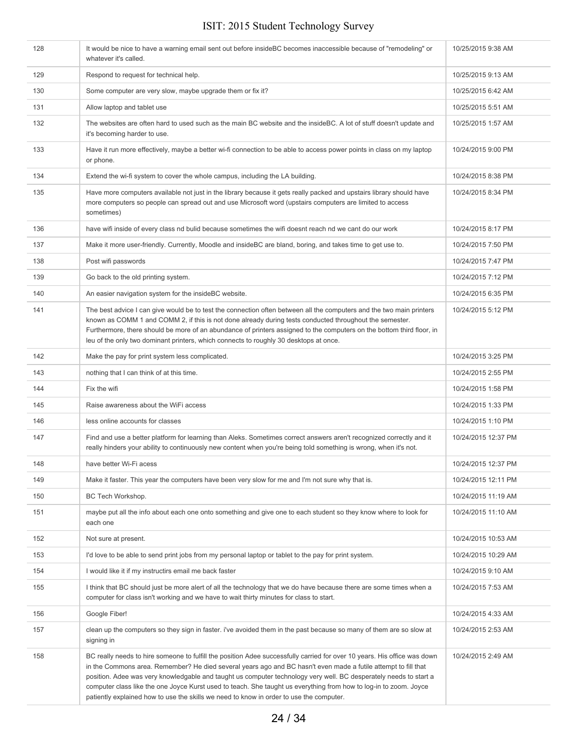| 128 | It would be nice to have a warning email sent out before insideBC becomes inaccessible because of "remodeling" or<br>whatever it's called.                                                                                                                                                                                                                                                                                                                                                                                                                                      | 10/25/2015 9:38 AM  |
|-----|---------------------------------------------------------------------------------------------------------------------------------------------------------------------------------------------------------------------------------------------------------------------------------------------------------------------------------------------------------------------------------------------------------------------------------------------------------------------------------------------------------------------------------------------------------------------------------|---------------------|
| 129 | Respond to request for technical help.                                                                                                                                                                                                                                                                                                                                                                                                                                                                                                                                          | 10/25/2015 9:13 AM  |
| 130 | Some computer are very slow, maybe upgrade them or fix it?                                                                                                                                                                                                                                                                                                                                                                                                                                                                                                                      | 10/25/2015 6:42 AM  |
| 131 | Allow laptop and tablet use                                                                                                                                                                                                                                                                                                                                                                                                                                                                                                                                                     | 10/25/2015 5:51 AM  |
| 132 | The websites are often hard to used such as the main BC website and the insideBC. A lot of stuff doesn't update and<br>it's becoming harder to use.                                                                                                                                                                                                                                                                                                                                                                                                                             | 10/25/2015 1:57 AM  |
| 133 | Have it run more effectively, maybe a better wi-fi connection to be able to access power points in class on my laptop<br>or phone.                                                                                                                                                                                                                                                                                                                                                                                                                                              | 10/24/2015 9:00 PM  |
| 134 | Extend the wi-fi system to cover the whole campus, including the LA building.                                                                                                                                                                                                                                                                                                                                                                                                                                                                                                   | 10/24/2015 8:38 PM  |
| 135 | Have more computers available not just in the library because it gets really packed and upstairs library should have<br>more computers so people can spread out and use Microsoft word (upstairs computers are limited to access<br>sometimes)                                                                                                                                                                                                                                                                                                                                  | 10/24/2015 8:34 PM  |
| 136 | have wifi inside of every class nd bulid because sometimes the wifi doesnt reach nd we cant do our work                                                                                                                                                                                                                                                                                                                                                                                                                                                                         | 10/24/2015 8:17 PM  |
| 137 | Make it more user-friendly. Currently, Moodle and insideBC are bland, boring, and takes time to get use to.                                                                                                                                                                                                                                                                                                                                                                                                                                                                     | 10/24/2015 7:50 PM  |
| 138 | Post wifi passwords                                                                                                                                                                                                                                                                                                                                                                                                                                                                                                                                                             | 10/24/2015 7:47 PM  |
| 139 | Go back to the old printing system.                                                                                                                                                                                                                                                                                                                                                                                                                                                                                                                                             | 10/24/2015 7:12 PM  |
| 140 | An easier navigation system for the insideBC website.                                                                                                                                                                                                                                                                                                                                                                                                                                                                                                                           | 10/24/2015 6:35 PM  |
| 141 | The best advice I can give would be to test the connection often between all the computers and the two main printers<br>known as COMM 1 and COMM 2, if this is not done already during tests conducted throughout the semester.<br>Furthermore, there should be more of an abundance of printers assigned to the computers on the bottom third floor, in<br>leu of the only two dominant printers, which connects to roughly 30 desktops at once.                                                                                                                               | 10/24/2015 5:12 PM  |
| 142 | Make the pay for print system less complicated.                                                                                                                                                                                                                                                                                                                                                                                                                                                                                                                                 | 10/24/2015 3:25 PM  |
| 143 | nothing that I can think of at this time.                                                                                                                                                                                                                                                                                                                                                                                                                                                                                                                                       | 10/24/2015 2:55 PM  |
| 144 | Fix the wifi                                                                                                                                                                                                                                                                                                                                                                                                                                                                                                                                                                    | 10/24/2015 1:58 PM  |
| 145 | Raise awareness about the WiFi access                                                                                                                                                                                                                                                                                                                                                                                                                                                                                                                                           | 10/24/2015 1:33 PM  |
| 146 | less online accounts for classes                                                                                                                                                                                                                                                                                                                                                                                                                                                                                                                                                | 10/24/2015 1:10 PM  |
| 147 | Find and use a better platform for learning than Aleks. Sometimes correct answers aren't recognized correctly and it<br>really hinders your ability to continuously new content when you're being told something is wrong, when it's not.                                                                                                                                                                                                                                                                                                                                       | 10/24/2015 12:37 PM |
| 148 | have better Wi-Fi acess                                                                                                                                                                                                                                                                                                                                                                                                                                                                                                                                                         | 10/24/2015 12:37 PM |
| 149 | Make it faster. This year the computers have been very slow for me and I'm not sure why that is.                                                                                                                                                                                                                                                                                                                                                                                                                                                                                | 10/24/2015 12:11 PM |
| 150 | BC Tech Workshop.                                                                                                                                                                                                                                                                                                                                                                                                                                                                                                                                                               | 10/24/2015 11:19 AM |
| 151 | maybe put all the info about each one onto something and give one to each student so they know where to look for<br>each one                                                                                                                                                                                                                                                                                                                                                                                                                                                    | 10/24/2015 11:10 AM |
| 152 | Not sure at present.                                                                                                                                                                                                                                                                                                                                                                                                                                                                                                                                                            | 10/24/2015 10:53 AM |
| 153 | I'd love to be able to send print jobs from my personal laptop or tablet to the pay for print system.                                                                                                                                                                                                                                                                                                                                                                                                                                                                           | 10/24/2015 10:29 AM |
| 154 | I would like it if my instructirs email me back faster                                                                                                                                                                                                                                                                                                                                                                                                                                                                                                                          | 10/24/2015 9:10 AM  |
| 155 | I think that BC should just be more alert of all the technology that we do have because there are some times when a<br>computer for class isn't working and we have to wait thirty minutes for class to start.                                                                                                                                                                                                                                                                                                                                                                  | 10/24/2015 7:53 AM  |
| 156 | Google Fiber!                                                                                                                                                                                                                                                                                                                                                                                                                                                                                                                                                                   | 10/24/2015 4:33 AM  |
| 157 | clean up the computers so they sign in faster. I've avoided them in the past because so many of them are so slow at<br>signing in                                                                                                                                                                                                                                                                                                                                                                                                                                               | 10/24/2015 2:53 AM  |
| 158 | BC really needs to hire someone to fulfill the position Adee successfully carried for over 10 years. His office was down<br>in the Commons area. Remember? He died several years ago and BC hasn't even made a futile attempt to fill that<br>position. Adee was very knowledgable and taught us computer technology very well. BC desperately needs to start a<br>computer class like the one Joyce Kurst used to teach. She taught us everything from how to log-in to zoom. Joyce<br>patiently explained how to use the skills we need to know in order to use the computer. | 10/24/2015 2:49 AM  |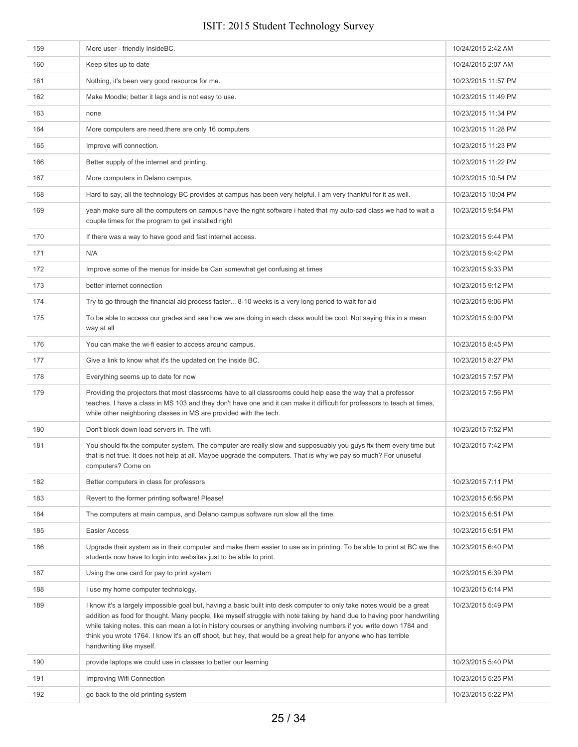| 159 | More user - friendly InsideBC.                                                                                                                                                                                                                                                                                                                                                                                                                                                                                          | 10/24/2015 2:42 AM  |
|-----|-------------------------------------------------------------------------------------------------------------------------------------------------------------------------------------------------------------------------------------------------------------------------------------------------------------------------------------------------------------------------------------------------------------------------------------------------------------------------------------------------------------------------|---------------------|
| 160 | Keep sites up to date                                                                                                                                                                                                                                                                                                                                                                                                                                                                                                   | 10/24/2015 2:07 AM  |
| 161 | Nothing, it's been very good resource for me.                                                                                                                                                                                                                                                                                                                                                                                                                                                                           | 10/23/2015 11:57 PM |
| 162 | Make Moodle; better it lags and is not easy to use.                                                                                                                                                                                                                                                                                                                                                                                                                                                                     | 10/23/2015 11:49 PM |
| 163 | none                                                                                                                                                                                                                                                                                                                                                                                                                                                                                                                    | 10/23/2015 11:34 PM |
| 164 | More computers are need, there are only 16 computers                                                                                                                                                                                                                                                                                                                                                                                                                                                                    | 10/23/2015 11:28 PM |
| 165 | Improve wifi connection.                                                                                                                                                                                                                                                                                                                                                                                                                                                                                                | 10/23/2015 11:23 PM |
| 166 | Better supply of the internet and printing.                                                                                                                                                                                                                                                                                                                                                                                                                                                                             | 10/23/2015 11:22 PM |
| 167 | More computers in Delano campus.                                                                                                                                                                                                                                                                                                                                                                                                                                                                                        | 10/23/2015 10:54 PM |
| 168 | Hard to say, all the technology BC provides at campus has been very helpful. I am very thankful for it as well.                                                                                                                                                                                                                                                                                                                                                                                                         | 10/23/2015 10:04 PM |
| 169 | yeah make sure all the computers on campus have the right software i hated that my auto-cad class we had to wait a<br>couple times for the program to get installed right                                                                                                                                                                                                                                                                                                                                               | 10/23/2015 9:54 PM  |
| 170 | If there was a way to have good and fast internet access.                                                                                                                                                                                                                                                                                                                                                                                                                                                               | 10/23/2015 9:44 PM  |
| 171 | N/A                                                                                                                                                                                                                                                                                                                                                                                                                                                                                                                     | 10/23/2015 9:42 PM  |
| 172 | Improve some of the menus for inside be Can somewhat get confusing at times                                                                                                                                                                                                                                                                                                                                                                                                                                             | 10/23/2015 9:33 PM  |
| 173 | better internet connection                                                                                                                                                                                                                                                                                                                                                                                                                                                                                              | 10/23/2015 9:12 PM  |
| 174 | Try to go through the financial aid process faster 8-10 weeks is a very long period to wait for aid                                                                                                                                                                                                                                                                                                                                                                                                                     | 10/23/2015 9:06 PM  |
| 175 | To be able to access our grades and see how we are doing in each class would be cool. Not saying this in a mean<br>way at all                                                                                                                                                                                                                                                                                                                                                                                           | 10/23/2015 9:00 PM  |
| 176 | You can make the wi-fi easier to access around campus.                                                                                                                                                                                                                                                                                                                                                                                                                                                                  | 10/23/2015 8:45 PM  |
| 177 | Give a link to know what it's the updated on the inside BC.                                                                                                                                                                                                                                                                                                                                                                                                                                                             | 10/23/2015 8:27 PM  |
| 178 | Everything seems up to date for now                                                                                                                                                                                                                                                                                                                                                                                                                                                                                     | 10/23/2015 7:57 PM  |
| 179 | Providing the projectors that most classrooms have to all classrooms could help ease the way that a professor<br>teaches. I have a class in MS 103 and they don't have one and it can make it difficult for professors to teach at times,<br>while other neighboring classes in MS are provided with the tech.                                                                                                                                                                                                          | 10/23/2015 7:56 PM  |
| 180 | Don't block down load servers in. The wifi.                                                                                                                                                                                                                                                                                                                                                                                                                                                                             | 10/23/2015 7:52 PM  |
| 181 | You should fix the computer system. The computer are really slow and supposuably you guys fix them every time but<br>that is not true. It does not help at all. Maybe upgrade the computers. That is why we pay so much? For unuseful<br>computers? Come on                                                                                                                                                                                                                                                             | 10/23/2015 7:42 PM  |
| 182 | Better computers in class for professors                                                                                                                                                                                                                                                                                                                                                                                                                                                                                | 10/23/2015 7:11 PM  |
| 183 | Revert to the former printing software! Please!                                                                                                                                                                                                                                                                                                                                                                                                                                                                         | 10/23/2015 6:56 PM  |
| 184 | The computers at main campus, and Delano campus software run slow all the time.                                                                                                                                                                                                                                                                                                                                                                                                                                         | 10/23/2015 6:51 PM  |
| 185 | Easier Access                                                                                                                                                                                                                                                                                                                                                                                                                                                                                                           | 10/23/2015 6:51 PM  |
| 186 | Upgrade their system as in their computer and make them easier to use as in printing. To be able to print at BC we the<br>students now have to login into websites just to be able to print.                                                                                                                                                                                                                                                                                                                            | 10/23/2015 6:40 PM  |
| 187 | Using the one card for pay to print system                                                                                                                                                                                                                                                                                                                                                                                                                                                                              | 10/23/2015 6:39 PM  |
| 188 | I use my home computer technology.                                                                                                                                                                                                                                                                                                                                                                                                                                                                                      | 10/23/2015 6:14 PM  |
| 189 | I know it's a largely impossible goal but, having a basic built into desk computer to only take notes would be a great<br>addition as food for thought. Many people, like myself struggle with note taking by hand due to having poor handwriting<br>while taking notes. this can mean a lot in history courses or anything involving numbers if you write down 1784 and<br>think you wrote 1764. I know it's an off shoot, but hey, that would be a great help for anyone who has terrible<br>handwriting like myself. | 10/23/2015 5:49 PM  |
| 190 | provide laptops we could use in classes to better our learning                                                                                                                                                                                                                                                                                                                                                                                                                                                          | 10/23/2015 5:40 PM  |
| 191 | Improving Wifi Connection                                                                                                                                                                                                                                                                                                                                                                                                                                                                                               | 10/23/2015 5:25 PM  |
| 192 | go back to the old printing system                                                                                                                                                                                                                                                                                                                                                                                                                                                                                      | 10/23/2015 5:22 PM  |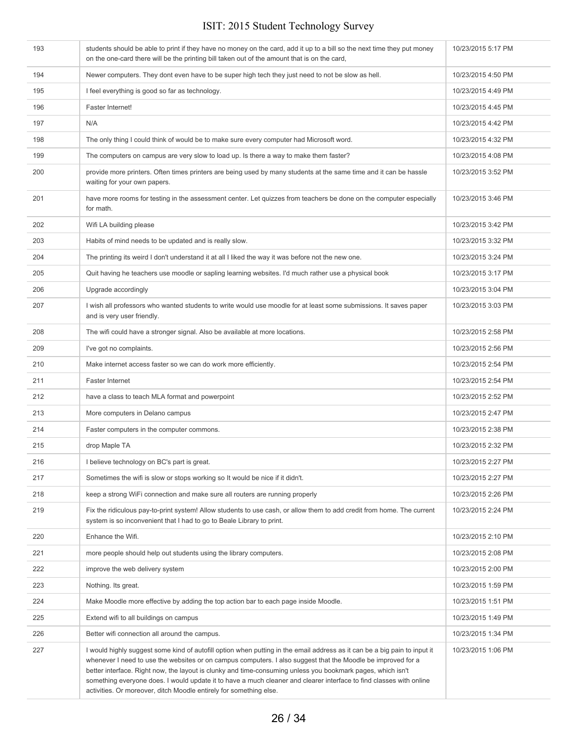| 193 | students should be able to print if they have no money on the card, add it up to a bill so the next time they put money<br>on the one-card there will be the printing bill taken out of the amount that is on the card,                                                                                                                                                                                                                                                                                                                               | 10/23/2015 5:17 PM |
|-----|-------------------------------------------------------------------------------------------------------------------------------------------------------------------------------------------------------------------------------------------------------------------------------------------------------------------------------------------------------------------------------------------------------------------------------------------------------------------------------------------------------------------------------------------------------|--------------------|
| 194 | Newer computers. They dont even have to be super high tech they just need to not be slow as hell.                                                                                                                                                                                                                                                                                                                                                                                                                                                     | 10/23/2015 4:50 PM |
| 195 | I feel everything is good so far as technology.                                                                                                                                                                                                                                                                                                                                                                                                                                                                                                       | 10/23/2015 4:49 PM |
| 196 | Faster Internet!                                                                                                                                                                                                                                                                                                                                                                                                                                                                                                                                      | 10/23/2015 4:45 PM |
| 197 | N/A                                                                                                                                                                                                                                                                                                                                                                                                                                                                                                                                                   | 10/23/2015 4:42 PM |
| 198 | The only thing I could think of would be to make sure every computer had Microsoft word.                                                                                                                                                                                                                                                                                                                                                                                                                                                              | 10/23/2015 4:32 PM |
| 199 | The computers on campus are very slow to load up. Is there a way to make them faster?                                                                                                                                                                                                                                                                                                                                                                                                                                                                 | 10/23/2015 4:08 PM |
| 200 | provide more printers. Often times printers are being used by many students at the same time and it can be hassle<br>waiting for your own papers.                                                                                                                                                                                                                                                                                                                                                                                                     | 10/23/2015 3:52 PM |
| 201 | have more rooms for testing in the assessment center. Let quizzes from teachers be done on the computer especially<br>for math.                                                                                                                                                                                                                                                                                                                                                                                                                       | 10/23/2015 3:46 PM |
| 202 | Wifi LA building please                                                                                                                                                                                                                                                                                                                                                                                                                                                                                                                               | 10/23/2015 3:42 PM |
| 203 | Habits of mind needs to be updated and is really slow.                                                                                                                                                                                                                                                                                                                                                                                                                                                                                                | 10/23/2015 3:32 PM |
| 204 | The printing its weird I don't understand it at all I liked the way it was before not the new one.                                                                                                                                                                                                                                                                                                                                                                                                                                                    | 10/23/2015 3:24 PM |
| 205 | Quit having he teachers use moodle or sapling learning websites. I'd much rather use a physical book                                                                                                                                                                                                                                                                                                                                                                                                                                                  | 10/23/2015 3:17 PM |
| 206 | Upgrade accordingly                                                                                                                                                                                                                                                                                                                                                                                                                                                                                                                                   | 10/23/2015 3:04 PM |
| 207 | I wish all professors who wanted students to write would use moodle for at least some submissions. It saves paper<br>and is very user friendly.                                                                                                                                                                                                                                                                                                                                                                                                       | 10/23/2015 3:03 PM |
| 208 | The wifi could have a stronger signal. Also be available at more locations.                                                                                                                                                                                                                                                                                                                                                                                                                                                                           | 10/23/2015 2:58 PM |
| 209 | I've got no complaints.                                                                                                                                                                                                                                                                                                                                                                                                                                                                                                                               | 10/23/2015 2:56 PM |
| 210 | Make internet access faster so we can do work more efficiently.                                                                                                                                                                                                                                                                                                                                                                                                                                                                                       | 10/23/2015 2:54 PM |
| 211 | <b>Faster Internet</b>                                                                                                                                                                                                                                                                                                                                                                                                                                                                                                                                | 10/23/2015 2:54 PM |
| 212 | have a class to teach MLA format and powerpoint                                                                                                                                                                                                                                                                                                                                                                                                                                                                                                       | 10/23/2015 2:52 PM |
| 213 | More computers in Delano campus                                                                                                                                                                                                                                                                                                                                                                                                                                                                                                                       | 10/23/2015 2:47 PM |
| 214 | Faster computers in the computer commons.                                                                                                                                                                                                                                                                                                                                                                                                                                                                                                             | 10/23/2015 2:38 PM |
| 215 | drop Maple TA                                                                                                                                                                                                                                                                                                                                                                                                                                                                                                                                         | 10/23/2015 2:32 PM |
| 216 | I believe technology on BC's part is great.                                                                                                                                                                                                                                                                                                                                                                                                                                                                                                           | 10/23/2015 2:27 PM |
| 217 | Sometimes the wifi is slow or stops working so It would be nice if it didn't.                                                                                                                                                                                                                                                                                                                                                                                                                                                                         | 10/23/2015 2:27 PM |
| 218 | keep a strong WiFi connection and make sure all routers are running properly                                                                                                                                                                                                                                                                                                                                                                                                                                                                          | 10/23/2015 2:26 PM |
| 219 | Fix the ridiculous pay-to-print system! Allow students to use cash, or allow them to add credit from home. The current<br>system is so inconvenient that I had to go to Beale Library to print.                                                                                                                                                                                                                                                                                                                                                       | 10/23/2015 2:24 PM |
| 220 | Enhance the Wifi.                                                                                                                                                                                                                                                                                                                                                                                                                                                                                                                                     | 10/23/2015 2:10 PM |
| 221 | more people should help out students using the library computers.                                                                                                                                                                                                                                                                                                                                                                                                                                                                                     | 10/23/2015 2:08 PM |
| 222 | improve the web delivery system                                                                                                                                                                                                                                                                                                                                                                                                                                                                                                                       | 10/23/2015 2:00 PM |
| 223 | Nothing. Its great.                                                                                                                                                                                                                                                                                                                                                                                                                                                                                                                                   | 10/23/2015 1:59 PM |
| 224 | Make Moodle more effective by adding the top action bar to each page inside Moodle.                                                                                                                                                                                                                                                                                                                                                                                                                                                                   | 10/23/2015 1:51 PM |
| 225 | Extend wifi to all buildings on campus                                                                                                                                                                                                                                                                                                                                                                                                                                                                                                                | 10/23/2015 1:49 PM |
| 226 | Better wifi connection all around the campus.                                                                                                                                                                                                                                                                                                                                                                                                                                                                                                         | 10/23/2015 1:34 PM |
| 227 | I would highly suggest some kind of autofill option when putting in the email address as it can be a big pain to input it<br>whenever I need to use the websites or on campus computers. I also suggest that the Moodle be improved for a<br>better interface. Right now, the layout is clunky and time-consuming unless you bookmark pages, which isn't<br>something everyone does. I would update it to have a much cleaner and clearer interface to find classes with online<br>activities. Or moreover, ditch Moodle entirely for something else. | 10/23/2015 1:06 PM |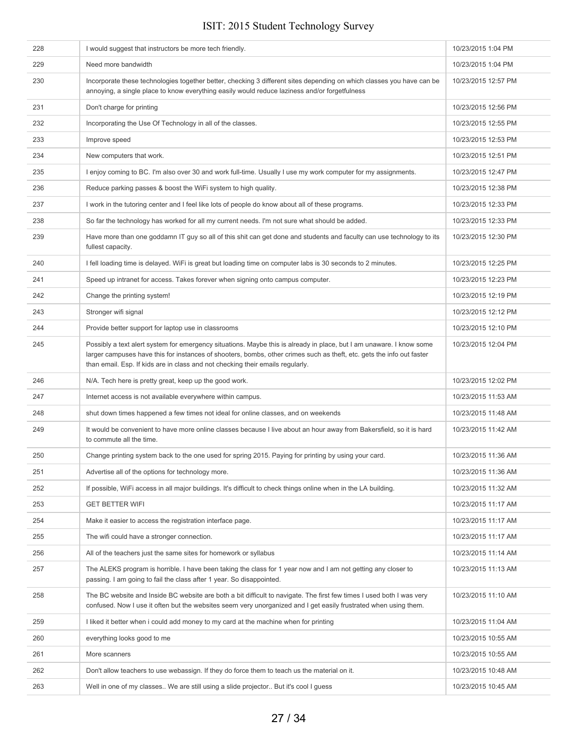| 228 | I would suggest that instructors be more tech friendly.                                                                                                                                                                                                                                                                         | 10/23/2015 1:04 PM  |
|-----|---------------------------------------------------------------------------------------------------------------------------------------------------------------------------------------------------------------------------------------------------------------------------------------------------------------------------------|---------------------|
| 229 | Need more bandwidth                                                                                                                                                                                                                                                                                                             | 10/23/2015 1:04 PM  |
| 230 | Incorporate these technologies together better, checking 3 different sites depending on which classes you have can be<br>annoying, a single place to know everything easily would reduce laziness and/or forgetfulness                                                                                                          | 10/23/2015 12:57 PM |
| 231 | Don't charge for printing                                                                                                                                                                                                                                                                                                       | 10/23/2015 12:56 PM |
| 232 | Incorporating the Use Of Technology in all of the classes.                                                                                                                                                                                                                                                                      | 10/23/2015 12:55 PM |
| 233 | Improve speed                                                                                                                                                                                                                                                                                                                   | 10/23/2015 12:53 PM |
| 234 | New computers that work.                                                                                                                                                                                                                                                                                                        | 10/23/2015 12:51 PM |
| 235 | I enjoy coming to BC. I'm also over 30 and work full-time. Usually I use my work computer for my assignments.                                                                                                                                                                                                                   | 10/23/2015 12:47 PM |
| 236 | Reduce parking passes & boost the WiFi system to high quality.                                                                                                                                                                                                                                                                  | 10/23/2015 12:38 PM |
| 237 | I work in the tutoring center and I feel like lots of people do know about all of these programs.                                                                                                                                                                                                                               | 10/23/2015 12:33 PM |
| 238 | So far the technology has worked for all my current needs. I'm not sure what should be added.                                                                                                                                                                                                                                   | 10/23/2015 12:33 PM |
| 239 | Have more than one goddamn IT guy so all of this shit can get done and students and faculty can use technology to its<br>fullest capacity.                                                                                                                                                                                      | 10/23/2015 12:30 PM |
| 240 | I fell loading time is delayed. WiFi is great but loading time on computer labs is 30 seconds to 2 minutes.                                                                                                                                                                                                                     | 10/23/2015 12:25 PM |
| 241 | Speed up intranet for access. Takes forever when signing onto campus computer.                                                                                                                                                                                                                                                  | 10/23/2015 12:23 PM |
| 242 | Change the printing system!                                                                                                                                                                                                                                                                                                     | 10/23/2015 12:19 PM |
| 243 | Stronger wifi signal                                                                                                                                                                                                                                                                                                            | 10/23/2015 12:12 PM |
| 244 | Provide better support for laptop use in classrooms                                                                                                                                                                                                                                                                             | 10/23/2015 12:10 PM |
| 245 | Possibly a text alert system for emergency situations. Maybe this is already in place, but I am unaware. I know some<br>larger campuses have this for instances of shooters, bombs, other crimes such as theft, etc. gets the info out faster<br>than email. Esp. If kids are in class and not checking their emails regularly. | 10/23/2015 12:04 PM |
| 246 | N/A. Tech here is pretty great, keep up the good work.                                                                                                                                                                                                                                                                          | 10/23/2015 12:02 PM |
| 247 | Internet access is not available everywhere within campus.                                                                                                                                                                                                                                                                      | 10/23/2015 11:53 AM |
| 248 | shut down times happened a few times not ideal for online classes, and on weekends                                                                                                                                                                                                                                              | 10/23/2015 11:48 AM |
| 249 | It would be convenient to have more online classes because I live about an hour away from Bakersfield, so it is hard<br>to commute all the time.                                                                                                                                                                                | 10/23/2015 11:42 AM |
| 250 | Change printing system back to the one used for spring 2015. Paying for printing by using your card.                                                                                                                                                                                                                            | 10/23/2015 11:36 AM |
| 251 | Advertise all of the options for technology more.                                                                                                                                                                                                                                                                               | 10/23/2015 11:36 AM |
| 252 | If possible, WiFi access in all major buildings. It's difficult to check things online when in the LA building.                                                                                                                                                                                                                 | 10/23/2015 11:32 AM |
| 253 | <b>GET BETTER WIFI</b>                                                                                                                                                                                                                                                                                                          | 10/23/2015 11:17 AM |
| 254 | Make it easier to access the registration interface page.                                                                                                                                                                                                                                                                       | 10/23/2015 11:17 AM |
| 255 | The wifi could have a stronger connection.                                                                                                                                                                                                                                                                                      | 10/23/2015 11:17 AM |
| 256 | All of the teachers just the same sites for homework or syllabus                                                                                                                                                                                                                                                                | 10/23/2015 11:14 AM |
| 257 | The ALEKS program is horrible. I have been taking the class for 1 year now and I am not getting any closer to<br>passing. I am going to fail the class after 1 year. So disappointed.                                                                                                                                           | 10/23/2015 11:13 AM |
| 258 | The BC website and Inside BC website are both a bit difficult to navigate. The first few times I used both I was very<br>confused. Now I use it often but the websites seem very unorganized and I get easily frustrated when using them.                                                                                       | 10/23/2015 11:10 AM |
| 259 | I liked it better when i could add money to my card at the machine when for printing                                                                                                                                                                                                                                            | 10/23/2015 11:04 AM |
| 260 | everything looks good to me                                                                                                                                                                                                                                                                                                     | 10/23/2015 10:55 AM |
| 261 | More scanners                                                                                                                                                                                                                                                                                                                   | 10/23/2015 10:55 AM |
| 262 | Don't allow teachers to use webassign. If they do force them to teach us the material on it.                                                                                                                                                                                                                                    | 10/23/2015 10:48 AM |
| 263 | Well in one of my classes We are still using a slide projector But it's cool I guess                                                                                                                                                                                                                                            | 10/23/2015 10:45 AM |
|     |                                                                                                                                                                                                                                                                                                                                 |                     |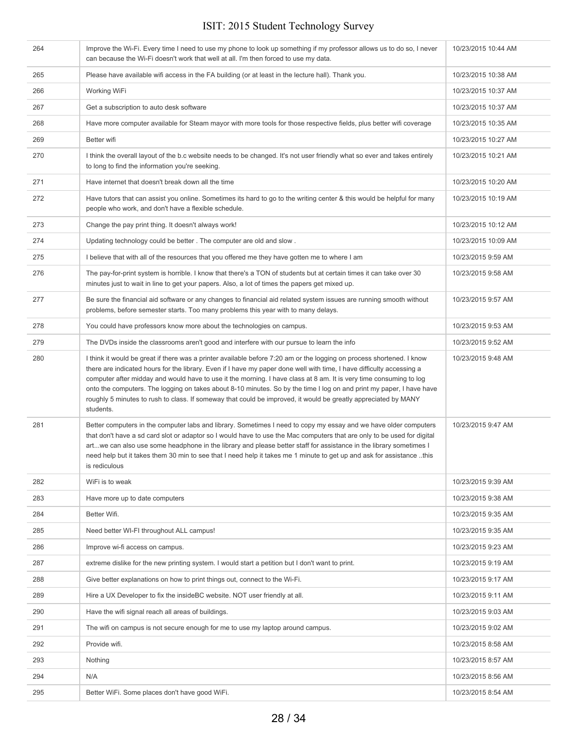| 264 | Improve the Wi-Fi. Every time I need to use my phone to look up something if my professor allows us to do so, I never<br>can because the Wi-Fi doesn't work that well at all. I'm then forced to use my data.                                                                                                                                                                                                                                                                                                                                                                                                               | 10/23/2015 10:44 AM |
|-----|-----------------------------------------------------------------------------------------------------------------------------------------------------------------------------------------------------------------------------------------------------------------------------------------------------------------------------------------------------------------------------------------------------------------------------------------------------------------------------------------------------------------------------------------------------------------------------------------------------------------------------|---------------------|
| 265 | Please have available wifi access in the FA building (or at least in the lecture hall). Thank you.                                                                                                                                                                                                                                                                                                                                                                                                                                                                                                                          | 10/23/2015 10:38 AM |
| 266 | Working WiFi                                                                                                                                                                                                                                                                                                                                                                                                                                                                                                                                                                                                                | 10/23/2015 10:37 AM |
| 267 | Get a subscription to auto desk software                                                                                                                                                                                                                                                                                                                                                                                                                                                                                                                                                                                    | 10/23/2015 10:37 AM |
| 268 | Have more computer available for Steam mayor with more tools for those respective fields, plus better wifi coverage                                                                                                                                                                                                                                                                                                                                                                                                                                                                                                         | 10/23/2015 10:35 AM |
| 269 | Better wifi                                                                                                                                                                                                                                                                                                                                                                                                                                                                                                                                                                                                                 | 10/23/2015 10:27 AM |
| 270 | I think the overall layout of the b.c website needs to be changed. It's not user friendly what so ever and takes entirely<br>to long to find the information you're seeking.                                                                                                                                                                                                                                                                                                                                                                                                                                                | 10/23/2015 10:21 AM |
| 271 | Have internet that doesn't break down all the time                                                                                                                                                                                                                                                                                                                                                                                                                                                                                                                                                                          | 10/23/2015 10:20 AM |
| 272 | Have tutors that can assist you online. Sometimes its hard to go to the writing center & this would be helpful for many<br>people who work, and don't have a flexible schedule.                                                                                                                                                                                                                                                                                                                                                                                                                                             | 10/23/2015 10:19 AM |
| 273 | Change the pay print thing. It doesn't always work!                                                                                                                                                                                                                                                                                                                                                                                                                                                                                                                                                                         | 10/23/2015 10:12 AM |
| 274 | Updating technology could be better. The computer are old and slow.                                                                                                                                                                                                                                                                                                                                                                                                                                                                                                                                                         | 10/23/2015 10:09 AM |
| 275 | I believe that with all of the resources that you offered me they have gotten me to where I am                                                                                                                                                                                                                                                                                                                                                                                                                                                                                                                              | 10/23/2015 9:59 AM  |
| 276 | The pay-for-print system is horrible. I know that there's a TON of students but at certain times it can take over 30<br>minutes just to wait in line to get your papers. Also, a lot of times the papers get mixed up.                                                                                                                                                                                                                                                                                                                                                                                                      | 10/23/2015 9:58 AM  |
| 277 | Be sure the financial aid software or any changes to financial aid related system issues are running smooth without<br>problems, before semester starts. Too many problems this year with to many delays.                                                                                                                                                                                                                                                                                                                                                                                                                   | 10/23/2015 9:57 AM  |
| 278 | You could have professors know more about the technologies on campus.                                                                                                                                                                                                                                                                                                                                                                                                                                                                                                                                                       | 10/23/2015 9:53 AM  |
| 279 | The DVDs inside the classrooms aren't good and interfere with our pursue to learn the info                                                                                                                                                                                                                                                                                                                                                                                                                                                                                                                                  | 10/23/2015 9:52 AM  |
| 280 | I think it would be great if there was a printer available before 7:20 am or the logging on process shortened. I know<br>there are indicated hours for the library. Even if I have my paper done well with time, I have difficulty accessing a<br>computer after midday and would have to use it the morning. I have class at 8 am. It is very time consuming to log<br>onto the computers. The logging on takes about 8-10 minutes. So by the time I log on and print my paper, I have have<br>roughly 5 minutes to rush to class. If someway that could be improved, it would be greatly appreciated by MANY<br>students. | 10/23/2015 9:48 AM  |
| 281 | Better computers in the computer labs and library. Sometimes I need to copy my essay and we have older computers<br>that don't have a sd card slot or adaptor so I would have to use the Mac computers that are only to be used for digital<br>artwe can also use some headphone in the library and please better staff for assistance in the library sometimes I<br>need help but it takes them 30 min to see that I need help it takes me 1 minute to get up and ask for assistance this<br>is rediculous                                                                                                                 | 10/23/2015 9:47 AM  |
| 282 | WiFi is to weak                                                                                                                                                                                                                                                                                                                                                                                                                                                                                                                                                                                                             | 10/23/2015 9:39 AM  |
| 283 | Have more up to date computers                                                                                                                                                                                                                                                                                                                                                                                                                                                                                                                                                                                              | 10/23/2015 9:38 AM  |
| 284 | Better Wifi.                                                                                                                                                                                                                                                                                                                                                                                                                                                                                                                                                                                                                | 10/23/2015 9:35 AM  |
| 285 | Need better WI-FI throughout ALL campus!                                                                                                                                                                                                                                                                                                                                                                                                                                                                                                                                                                                    | 10/23/2015 9:35 AM  |
| 286 | Improve wi-fi access on campus.                                                                                                                                                                                                                                                                                                                                                                                                                                                                                                                                                                                             | 10/23/2015 9:23 AM  |
| 287 | extreme dislike for the new printing system. I would start a petition but I don't want to print.                                                                                                                                                                                                                                                                                                                                                                                                                                                                                                                            | 10/23/2015 9:19 AM  |
| 288 | Give better explanations on how to print things out, connect to the Wi-Fi.                                                                                                                                                                                                                                                                                                                                                                                                                                                                                                                                                  | 10/23/2015 9:17 AM  |
| 289 | Hire a UX Developer to fix the insideBC website. NOT user friendly at all.                                                                                                                                                                                                                                                                                                                                                                                                                                                                                                                                                  | 10/23/2015 9:11 AM  |
| 290 | Have the wifi signal reach all areas of buildings.                                                                                                                                                                                                                                                                                                                                                                                                                                                                                                                                                                          | 10/23/2015 9:03 AM  |
| 291 | The wifi on campus is not secure enough for me to use my laptop around campus.                                                                                                                                                                                                                                                                                                                                                                                                                                                                                                                                              | 10/23/2015 9:02 AM  |
| 292 | Provide wifi.                                                                                                                                                                                                                                                                                                                                                                                                                                                                                                                                                                                                               | 10/23/2015 8:58 AM  |
| 293 | Nothing                                                                                                                                                                                                                                                                                                                                                                                                                                                                                                                                                                                                                     | 10/23/2015 8:57 AM  |
| 294 | N/A                                                                                                                                                                                                                                                                                                                                                                                                                                                                                                                                                                                                                         | 10/23/2015 8:56 AM  |
| 295 | Better WiFi. Some places don't have good WiFi.                                                                                                                                                                                                                                                                                                                                                                                                                                                                                                                                                                              | 10/23/2015 8:54 AM  |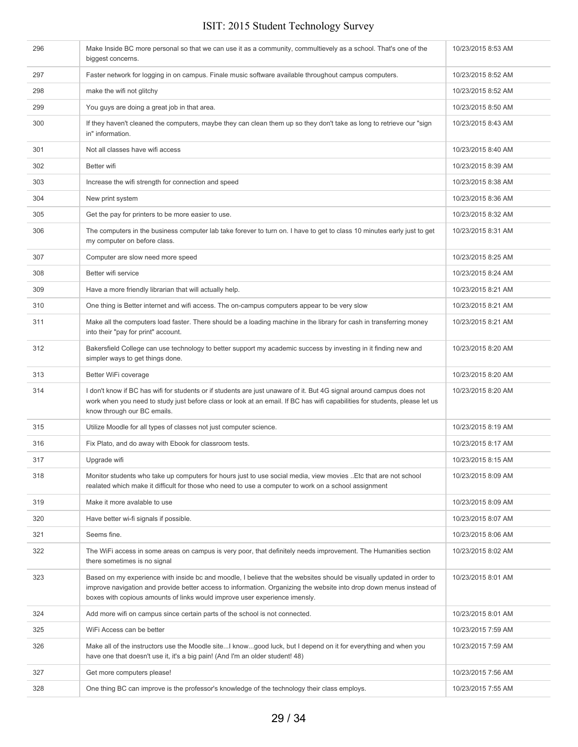| 296 | Make Inside BC more personal so that we can use it as a community, commultievely as a school. That's one of the<br>biggest concerns.                                                                                                                                                                                      | 10/23/2015 8:53 AM |
|-----|---------------------------------------------------------------------------------------------------------------------------------------------------------------------------------------------------------------------------------------------------------------------------------------------------------------------------|--------------------|
| 297 | Faster network for logging in on campus. Finale music software available throughout campus computers.                                                                                                                                                                                                                     | 10/23/2015 8:52 AM |
| 298 | make the wifi not glitchy                                                                                                                                                                                                                                                                                                 | 10/23/2015 8:52 AM |
| 299 | You guys are doing a great job in that area.                                                                                                                                                                                                                                                                              | 10/23/2015 8:50 AM |
| 300 | If they haven't cleaned the computers, maybe they can clean them up so they don't take as long to retrieve our "sign<br>in" information.                                                                                                                                                                                  | 10/23/2015 8:43 AM |
| 301 | Not all classes have wifi access                                                                                                                                                                                                                                                                                          | 10/23/2015 8:40 AM |
| 302 | Better wifi                                                                                                                                                                                                                                                                                                               | 10/23/2015 8:39 AM |
| 303 | Increase the wifi strength for connection and speed                                                                                                                                                                                                                                                                       | 10/23/2015 8:38 AM |
| 304 | New print system                                                                                                                                                                                                                                                                                                          | 10/23/2015 8:36 AM |
| 305 | Get the pay for printers to be more easier to use.                                                                                                                                                                                                                                                                        | 10/23/2015 8:32 AM |
| 306 | The computers in the business computer lab take forever to turn on. I have to get to class 10 minutes early just to get<br>my computer on before class.                                                                                                                                                                   | 10/23/2015 8:31 AM |
| 307 | Computer are slow need more speed                                                                                                                                                                                                                                                                                         | 10/23/2015 8:25 AM |
| 308 | Better wifi service                                                                                                                                                                                                                                                                                                       | 10/23/2015 8:24 AM |
| 309 | Have a more friendly librarian that will actually help.                                                                                                                                                                                                                                                                   | 10/23/2015 8:21 AM |
| 310 | One thing is Better internet and wifi access. The on-campus computers appear to be very slow                                                                                                                                                                                                                              | 10/23/2015 8:21 AM |
| 311 | Make all the computers load faster. There should be a loading machine in the library for cash in transferring money<br>into their "pay for print" account.                                                                                                                                                                | 10/23/2015 8:21 AM |
| 312 | Bakersfield College can use technology to better support my academic success by investing in it finding new and<br>simpler ways to get things done.                                                                                                                                                                       | 10/23/2015 8:20 AM |
| 313 | Better WiFi coverage                                                                                                                                                                                                                                                                                                      | 10/23/2015 8:20 AM |
| 314 | I don't know if BC has wifi for students or if students are just unaware of it. But 4G signal around campus does not<br>work when you need to study just before class or look at an email. If BC has wifi capabilities for students, please let us<br>know through our BC emails.                                         | 10/23/2015 8:20 AM |
| 315 | Utilize Moodle for all types of classes not just computer science.                                                                                                                                                                                                                                                        | 10/23/2015 8:19 AM |
| 316 | Fix Plato, and do away with Ebook for classroom tests.                                                                                                                                                                                                                                                                    | 10/23/2015 8:17 AM |
| 317 | Upgrade wifi                                                                                                                                                                                                                                                                                                              | 10/23/2015 8:15 AM |
| 318 | Monitor students who take up computers for hours just to use social media, view movies Etc that are not school<br>realated which make it difficult for those who need to use a computer to work on a school assignment                                                                                                    | 10/23/2015 8:09 AM |
| 319 | Make it more avalable to use                                                                                                                                                                                                                                                                                              | 10/23/2015 8:09 AM |
| 320 | Have better wi-fi signals if possible.                                                                                                                                                                                                                                                                                    | 10/23/2015 8:07 AM |
| 321 | Seems fine.                                                                                                                                                                                                                                                                                                               | 10/23/2015 8:06 AM |
| 322 | The WiFi access in some areas on campus is very poor, that definitely needs improvement. The Humanities section<br>there sometimes is no signal                                                                                                                                                                           | 10/23/2015 8:02 AM |
| 323 | Based on my experience with inside bc and moodle, I believe that the websites should be visually updated in order to<br>improve navigation and provide better access to information. Organizing the website into drop down menus instead of<br>boxes with copious amounts of links would improve user experience imensly. | 10/23/2015 8:01 AM |
| 324 | Add more wifi on campus since certain parts of the school is not connected.                                                                                                                                                                                                                                               | 10/23/2015 8:01 AM |
| 325 | WiFi Access can be better                                                                                                                                                                                                                                                                                                 | 10/23/2015 7:59 AM |
| 326 | Make all of the instructors use the Moodle siteI knowgood luck, but I depend on it for everything and when you<br>have one that doesn't use it, it's a big pain! (And I'm an older student! 48)                                                                                                                           | 10/23/2015 7:59 AM |
| 327 | Get more computers please!                                                                                                                                                                                                                                                                                                | 10/23/2015 7:56 AM |
| 328 | One thing BC can improve is the professor's knowledge of the technology their class employs.                                                                                                                                                                                                                              | 10/23/2015 7:55 AM |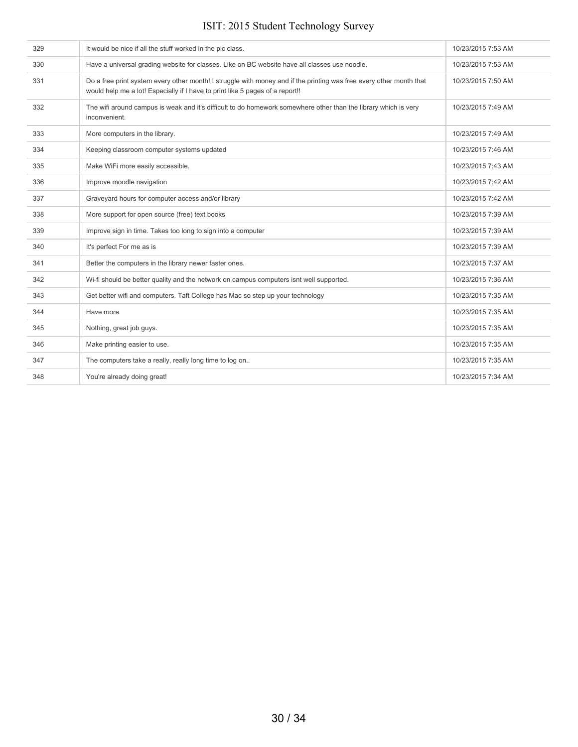| 329 | It would be nice if all the stuff worked in the plc class.                                                                                                                                           | 10/23/2015 7:53 AM |
|-----|------------------------------------------------------------------------------------------------------------------------------------------------------------------------------------------------------|--------------------|
| 330 | Have a universal grading website for classes. Like on BC website have all classes use noodle.                                                                                                        | 10/23/2015 7:53 AM |
| 331 | Do a free print system every other month! I struggle with money and if the printing was free every other month that<br>would help me a lot! Especially if I have to print like 5 pages of a report!! | 10/23/2015 7:50 AM |
| 332 | The wifi around campus is weak and it's difficult to do homework somewhere other than the library which is very<br>inconvenient.                                                                     | 10/23/2015 7:49 AM |
| 333 | More computers in the library.                                                                                                                                                                       | 10/23/2015 7:49 AM |
| 334 | Keeping classroom computer systems updated                                                                                                                                                           | 10/23/2015 7:46 AM |
| 335 | Make WiFi more easily accessible.                                                                                                                                                                    | 10/23/2015 7:43 AM |
| 336 | Improve moodle navigation                                                                                                                                                                            | 10/23/2015 7:42 AM |
| 337 | Graveyard hours for computer access and/or library                                                                                                                                                   | 10/23/2015 7:42 AM |
| 338 | More support for open source (free) text books                                                                                                                                                       | 10/23/2015 7:39 AM |
| 339 | Improve sign in time. Takes too long to sign into a computer                                                                                                                                         | 10/23/2015 7:39 AM |
| 340 | It's perfect For me as is                                                                                                                                                                            | 10/23/2015 7:39 AM |
| 341 | Better the computers in the library newer faster ones.                                                                                                                                               | 10/23/2015 7:37 AM |
| 342 | Wi-fi should be better quality and the network on campus computers isnt well supported.                                                                                                              | 10/23/2015 7:36 AM |
| 343 | Get better wifi and computers. Taft College has Mac so step up your technology                                                                                                                       | 10/23/2015 7:35 AM |
| 344 | Have more                                                                                                                                                                                            | 10/23/2015 7:35 AM |
| 345 | Nothing, great job guys.                                                                                                                                                                             | 10/23/2015 7:35 AM |
| 346 | Make printing easier to use.                                                                                                                                                                         | 10/23/2015 7:35 AM |
| 347 | The computers take a really, really long time to log on                                                                                                                                              | 10/23/2015 7:35 AM |
| 348 | You're already doing great!                                                                                                                                                                          | 10/23/2015 7:34 AM |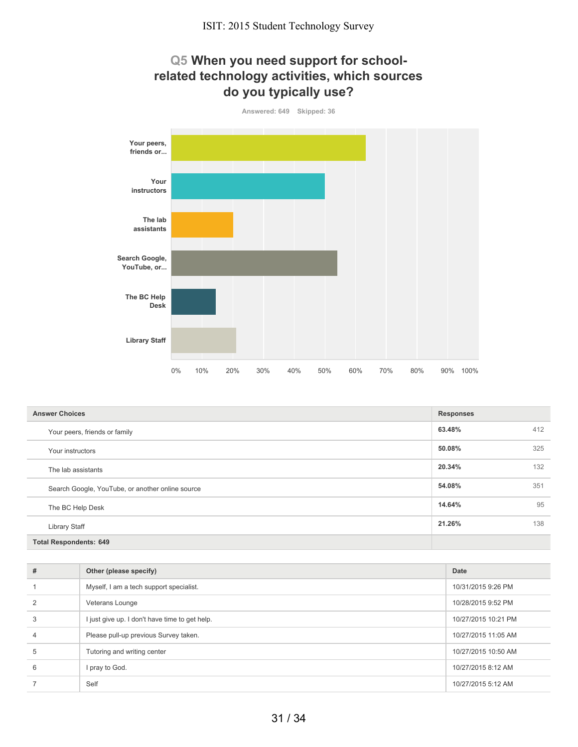#### **Q5 When you need support for schoolrelated technology activities, which sources do you typically use?**



| <b>Answer Choices</b>                            | <b>Responses</b> |     |
|--------------------------------------------------|------------------|-----|
| Your peers, friends or family                    | 63.48%           | 412 |
| Your instructors                                 | 50.08%           | 325 |
| The lab assistants                               | 20.34%           | 132 |
| Search Google, YouTube, or another online source | 54.08%           | 351 |
| The BC Help Desk                                 | 14.64%           | 95  |
| <b>Library Staff</b>                             | 21.26%           | 138 |
| <b>Total Respondents: 649</b>                    |                  |     |

| #             | Other (please specify)                         | Date                |
|---------------|------------------------------------------------|---------------------|
|               | Myself, I am a tech support specialist.        | 10/31/2015 9:26 PM  |
| $\mathcal{P}$ | Veterans Lounge                                | 10/28/2015 9:52 PM  |
| 3             | I just give up. I don't have time to get help. | 10/27/2015 10:21 PM |
| 4             | Please pull-up previous Survey taken.          | 10/27/2015 11:05 AM |
| 5             | Tutoring and writing center                    | 10/27/2015 10:50 AM |
| 6             | I pray to God.                                 | 10/27/2015 8:12 AM  |
|               | Self                                           | 10/27/2015 5:12 AM  |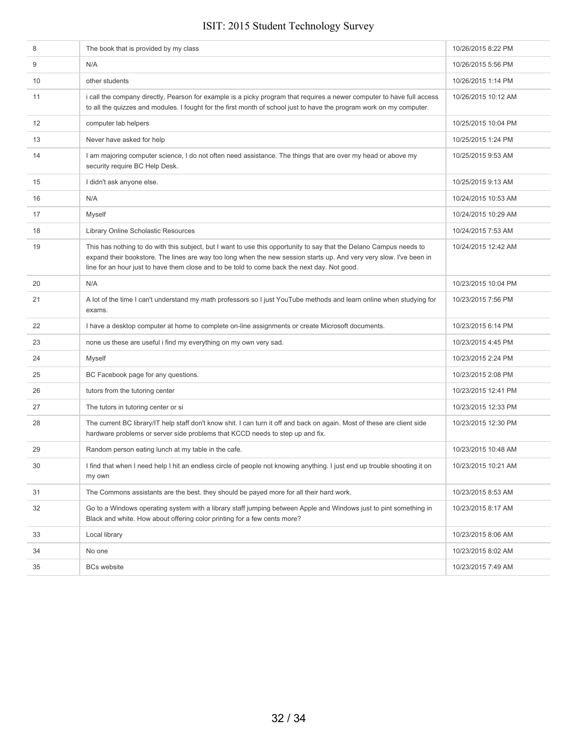| 8                 | The book that is provided by my class                                                                                                                                                                                                                                                                                                      | 10/26/2015 8:22 PM  |
|-------------------|--------------------------------------------------------------------------------------------------------------------------------------------------------------------------------------------------------------------------------------------------------------------------------------------------------------------------------------------|---------------------|
| 9                 | N/A                                                                                                                                                                                                                                                                                                                                        | 10/26/2015 5:56 PM  |
| 10                | other students                                                                                                                                                                                                                                                                                                                             | 10/26/2015 1:14 PM  |
| 11                | i call the company directly, Pearson for example is a picky program that requires a newer computer to have full access<br>to all the quizzes and modules. I fought for the first month of school just to have the program work on my computer.                                                                                             | 10/26/2015 10:12 AM |
| $12 \overline{ }$ | computer lab helpers                                                                                                                                                                                                                                                                                                                       | 10/25/2015 10:04 PM |
| 13                | Never have asked for help                                                                                                                                                                                                                                                                                                                  | 10/25/2015 1:24 PM  |
| 14                | I am majoring computer science, I do not often need assistance. The things that are over my head or above my<br>security require BC Help Desk.                                                                                                                                                                                             | 10/25/2015 9:53 AM  |
| 15                | I didn't ask anyone else.                                                                                                                                                                                                                                                                                                                  | 10/25/2015 9:13 AM  |
| 16                | N/A                                                                                                                                                                                                                                                                                                                                        | 10/24/2015 10:53 AM |
| 17                | Myself                                                                                                                                                                                                                                                                                                                                     | 10/24/2015 10:29 AM |
| 18                | Library Online Scholastic Resources                                                                                                                                                                                                                                                                                                        | 10/24/2015 7:53 AM  |
| 19                | This has nothing to do with this subject, but I want to use this opportunity to say that the Delano Campus needs to<br>expand their bookstore. The lines are way too long when the new session starts up. And very very slow. I've been in<br>line for an hour just to have them close and to be told to come back the next day. Not good. | 10/24/2015 12:42 AM |
| 20                | N/A                                                                                                                                                                                                                                                                                                                                        | 10/23/2015 10:04 PM |
| 21                | A lot of the time I can't understand my math professors so I just YouTube methods and learn online when studying for<br>exams.                                                                                                                                                                                                             | 10/23/2015 7:56 PM  |
| 22                | I have a desktop computer at home to complete on-line assignments or create Microsoft documents.                                                                                                                                                                                                                                           | 10/23/2015 6:14 PM  |
| 23                | none us these are useful i find my everything on my own very sad.                                                                                                                                                                                                                                                                          | 10/23/2015 4:45 PM  |
| 24                | <b>Myself</b>                                                                                                                                                                                                                                                                                                                              | 10/23/2015 2:24 PM  |
| 25                | BC Facebook page for any questions.                                                                                                                                                                                                                                                                                                        | 10/23/2015 2:08 PM  |
| 26                | tutors from the tutoring center                                                                                                                                                                                                                                                                                                            | 10/23/2015 12:41 PM |
| 27                | The tutors in tutoring center or si                                                                                                                                                                                                                                                                                                        | 10/23/2015 12:33 PM |
| 28                | The current BC library/IT help staff don't know shit. I can turn it off and back on again. Most of these are client side<br>hardware problems or server side problems that KCCD needs to step up and fix.                                                                                                                                  | 10/23/2015 12:30 PM |
| 29                | Random person eating lunch at my table in the cafe.                                                                                                                                                                                                                                                                                        | 10/23/2015 10:48 AM |
| 30                | I find that when I need help I hit an endless circle of people not knowing anything. I just end up trouble shooting it on<br>my own                                                                                                                                                                                                        | 10/23/2015 10:21 AM |
| 31                | The Commons assistants are the best, they should be payed more for all their hard work.                                                                                                                                                                                                                                                    | 10/23/2015 8:53 AM  |
| 32                | Go to a Windows operating system with a library staff jumping between Apple and Windows just to pint something in<br>Black and white. How about offering color printing for a few cents more?                                                                                                                                              | 10/23/2015 8:17 AM  |
| 33                | Local library                                                                                                                                                                                                                                                                                                                              | 10/23/2015 8:06 AM  |
| 34                | No one                                                                                                                                                                                                                                                                                                                                     | 10/23/2015 8:02 AM  |
| 35                | <b>BCs website</b>                                                                                                                                                                                                                                                                                                                         | 10/23/2015 7:49 AM  |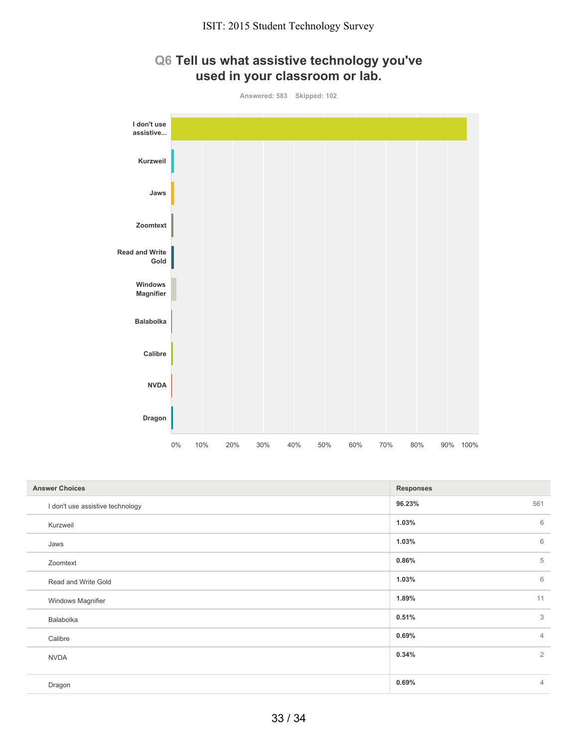

## **Q6 Tell us what assistive technology you've used in your classroom or lab.**

| <b>Answer Choices</b>            | <b>Responses</b> |                |
|----------------------------------|------------------|----------------|
| I don't use assistive technology | 96.23%           | 561            |
| Kurzweil                         | 1.03%            | 6              |
| Jaws                             | 1.03%            | 6              |
| Zoomtext                         | 0.86%            | 5              |
| Read and Write Gold              | 1.03%            | 6              |
| Windows Magnifier                | 1.89%            | 11             |
| Balabolka                        | 0.51%            | 3              |
| Calibre                          | 0.69%            | $\overline{4}$ |
| <b>NVDA</b>                      | 0.34%            | 2              |
|                                  |                  |                |
| Dragon                           | 0.69%            | $\overline{4}$ |